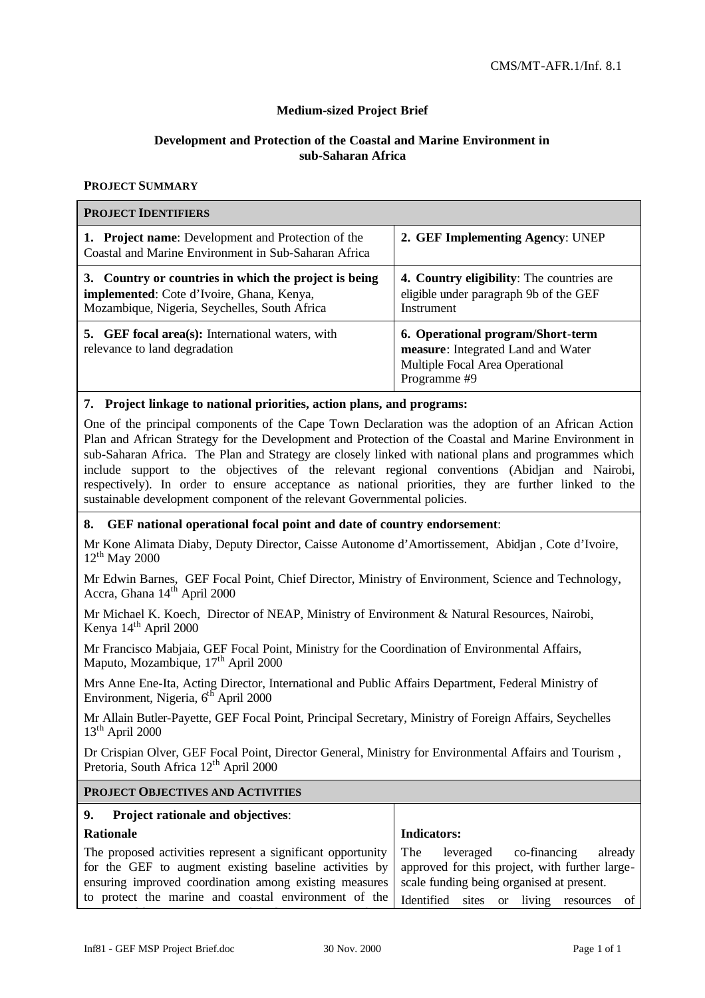# **Medium-sized Project Brief**

# **Development and Protection of the Coastal and Marine Environment in sub-Saharan Africa**

#### **PROJECT SUMMARY**

| <b>PROJECT IDENTIFIERS</b>                                                                                                                          |                                                                                                                            |
|-----------------------------------------------------------------------------------------------------------------------------------------------------|----------------------------------------------------------------------------------------------------------------------------|
| 1. Project name: Development and Protection of the<br>Coastal and Marine Environment in Sub-Saharan Africa                                          | 2. GEF Implementing Agency: UNEP                                                                                           |
| 3. Country or countries in which the project is being<br>implemented: Cote d'Ivoire, Ghana, Kenya,<br>Mozambique, Nigeria, Seychelles, South Africa | <b>4. Country eligibility:</b> The countries are<br>eligible under paragraph 9b of the GEF<br>Instrument                   |
| <b>5.</b> GEF focal area(s): International waters, with<br>relevance to land degradation                                                            | 6. Operational program/Short-term<br>measure: Integrated Land and Water<br>Multiple Focal Area Operational<br>Programme #9 |

#### **7. Project linkage to national priorities, action plans, and programs:**

One of the principal components of the Cape Town Declaration was the adoption of an African Action Plan and African Strategy for the Development and Protection of the Coastal and Marine Environment in sub-Saharan Africa. The Plan and Strategy are closely linked with national plans and programmes which include support to the objectives of the relevant regional conventions (Abidjan and Nairobi, respectively). In order to ensure acceptance as national priorities, they are further linked to the sustainable development component of the relevant Governmental policies.

#### **8. GEF national operational focal point and date of country endorsement**:

Mr Kone Alimata Diaby, Deputy Director, Caisse Autonome d'Amortissement, Abidjan , Cote d'Ivoire,  $12^{th}$  May 2000

Mr Edwin Barnes, GEF Focal Point, Chief Director, Ministry of Environment, Science and Technology, Accra, Ghana 14<sup>th</sup> April 2000

Mr Michael K. Koech, Director of NEAP, Ministry of Environment & Natural Resources, Nairobi, Kenya 14<sup>th</sup> April 2000

Mr Francisco Mabjaia, GEF Focal Point, Ministry for the Coordination of Environmental Affairs, Maputo, Mozambique,  $17<sup>th</sup>$  April 2000

Mrs Anne Ene-Ita, Acting Director, International and Public Affairs Department, Federal Ministry of Environment, Nigeria,  $6^{th}$  April 2000

Mr Allain Butler-Payette, GEF Focal Point, Principal Secretary, Ministry of Foreign Affairs, Seychelles  $13<sup>th</sup>$  April 2000

Dr Crispian Olver, GEF Focal Point, Director General, Ministry for Environmental Affairs and Tourism , Pretoria, South Africa 12<sup>th</sup> April 2000

#### **PROJECT OBJECTIVES AND ACTIVITIES**

| 9.<br><b>Project rationale and objectives:</b>                                                                                                                                                                                          |                                                                                                                                                                                    |  |  |  |  |  |  |  |  |  |  |
|-----------------------------------------------------------------------------------------------------------------------------------------------------------------------------------------------------------------------------------------|------------------------------------------------------------------------------------------------------------------------------------------------------------------------------------|--|--|--|--|--|--|--|--|--|--|
| <b>Rationale</b>                                                                                                                                                                                                                        | Indicators:                                                                                                                                                                        |  |  |  |  |  |  |  |  |  |  |
| The proposed activities represent a significant opportunity<br>for the GEF to augment existing baseline activities by<br>ensuring improved coordination among existing measures<br>to protect the marine and coastal environment of the | The<br>leveraged co-financing<br>already<br>approved for this project, with further large-<br>scale funding being organised at present.<br>Identified sites or living resources of |  |  |  |  |  |  |  |  |  |  |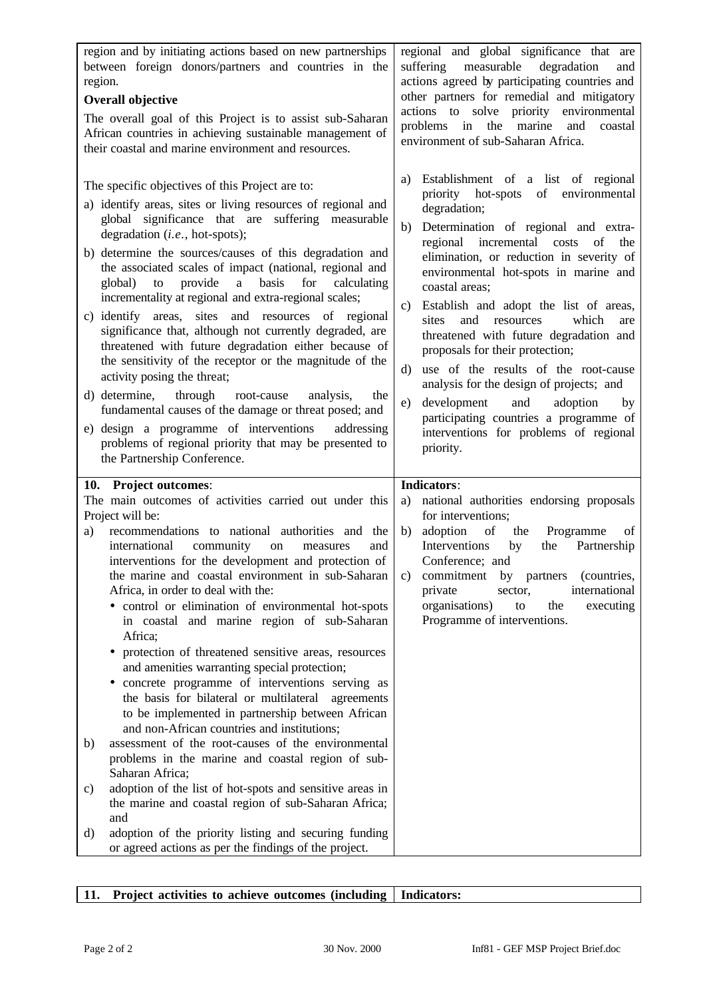| region and by initiating actions based on new partnerships<br>between foreign donors/partners and countries in the<br>region.<br><b>Overall objective</b><br>The overall goal of this Project is to assist sub-Saharan<br>African countries in achieving sustainable management of<br>their coastal and marine environment and resources.                                                                                                                                                                                                                                                                                                                                                                                                                                                                                                                                                                                                                                                                                                                                                                                                                                                                            | regional and global significance that are<br>measurable<br>suffering<br>degradation<br>and<br>actions agreed by participating countries and<br>other partners for remedial and mitigatory<br>actions to solve priority environmental<br>problems in the marine and<br>coastal<br>environment of sub-Saharan Africa.                                                                                                                                                                                                                                                                                                                                                                                              |
|----------------------------------------------------------------------------------------------------------------------------------------------------------------------------------------------------------------------------------------------------------------------------------------------------------------------------------------------------------------------------------------------------------------------------------------------------------------------------------------------------------------------------------------------------------------------------------------------------------------------------------------------------------------------------------------------------------------------------------------------------------------------------------------------------------------------------------------------------------------------------------------------------------------------------------------------------------------------------------------------------------------------------------------------------------------------------------------------------------------------------------------------------------------------------------------------------------------------|------------------------------------------------------------------------------------------------------------------------------------------------------------------------------------------------------------------------------------------------------------------------------------------------------------------------------------------------------------------------------------------------------------------------------------------------------------------------------------------------------------------------------------------------------------------------------------------------------------------------------------------------------------------------------------------------------------------|
| The specific objectives of this Project are to:<br>a) identify areas, sites or living resources of regional and<br>global significance that are suffering measurable<br>degradation (i.e., hot-spots);<br>b) determine the sources/causes of this degradation and<br>the associated scales of impact (national, regional and<br>provide a basis<br>for<br>global) to<br>calculating<br>incrementality at regional and extra-regional scales;<br>sites and resources of regional<br>c) identify areas,<br>significance that, although not currently degraded, are<br>threatened with future degradation either because of<br>the sensitivity of the receptor or the magnitude of the<br>activity posing the threat;<br>d) determine, through<br>root-cause<br>analysis,<br>the<br>fundamental causes of the damage or threat posed; and<br>e) design a programme of interventions<br>addressing<br>problems of regional priority that may be presented to<br>the Partnership Conference.                                                                                                                                                                                                                              | Establishment of a list of regional<br>a)<br>priority hot-spots of environmental<br>degradation;<br>Determination of regional and extra-<br>b)<br>regional incremental costs<br>of<br>the<br>elimination, or reduction in severity of<br>environmental hot-spots in marine and<br>coastal areas;<br>Establish and adopt the list of areas,<br>c)<br>sites<br>and resources<br>which<br>are<br>threatened with future degradation and<br>proposals for their protection;<br>use of the results of the root-cause<br>d)<br>analysis for the design of projects; and<br>development<br>and<br>adoption<br>e)<br>by<br>participating countries a programme of<br>interventions for problems of regional<br>priority. |
| 10. Project outcomes:<br>The main outcomes of activities carried out under this<br>Project will be:<br>recommendations to national authorities and the<br>a)<br>international<br>community<br>and<br>on<br>measures<br>interventions for the development and protection of<br>the marine and coastal environment in sub-Saharan<br>Africa, in order to deal with the:<br>· control or elimination of environmental hot-spots<br>in coastal and marine region of sub-Saharan<br>Africa:<br>• protection of threatened sensitive areas, resources<br>and amenities warranting special protection;<br>concrete programme of interventions serving as<br>٠<br>the basis for bilateral or multilateral<br>agreements<br>to be implemented in partnership between African<br>and non-African countries and institutions;<br>assessment of the root-causes of the environmental<br>b)<br>problems in the marine and coastal region of sub-<br>Saharan Africa;<br>adoption of the list of hot-spots and sensitive areas in<br>c)<br>the marine and coastal region of sub-Saharan Africa;<br>and<br>adoption of the priority listing and securing funding<br>$\rm d$<br>or agreed actions as per the findings of the project. | <b>Indicators:</b><br>national authorities endorsing proposals<br>a)<br>for interventions;<br>adoption<br>of<br>b)<br>the<br>Programme<br>of<br>the Partnership<br>Interventions<br>by<br>Conference; and<br>c) commitment by partners (countries,<br>international<br>private<br>sector.<br>organisations)<br>the<br>executing<br>to<br>Programme of interventions.                                                                                                                                                                                                                                                                                                                                             |

# 11. **Project activities to achieve outcomes (including | Indicators:**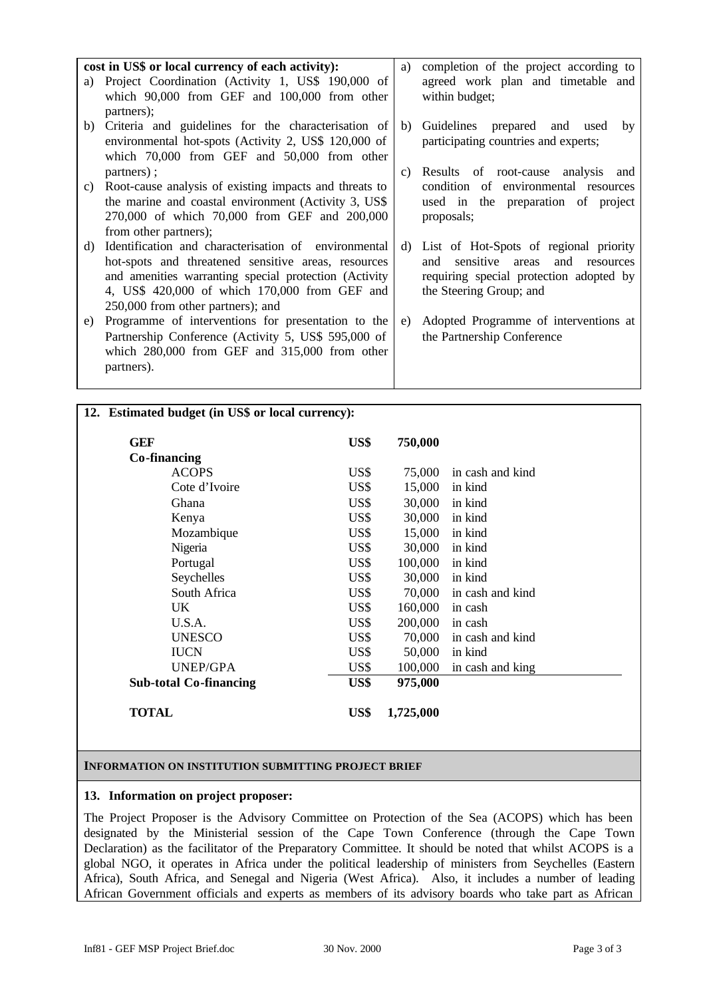|    | cost in US\$ or local currency of each activity):                    | a) | completion of the project according to                                     |
|----|----------------------------------------------------------------------|----|----------------------------------------------------------------------------|
| a) | Project Coordination (Activity 1, US\$ 190,000 of                    |    | agreed work plan and timetable and                                         |
|    | which 90,000 from GEF and 100,000 from other                         |    | within budget;                                                             |
|    | partners);                                                           |    |                                                                            |
|    | b) Criteria and guidelines for the characterisation of               | b) | Guidelines prepared and used<br>by                                         |
|    | environmental hot-spots (Activity 2, US\$ 120,000 of                 |    | participating countries and experts;                                       |
|    | which $70,000$ from GEF and $50,000$ from other                      |    |                                                                            |
| C) | partners);<br>Root-cause analysis of existing impacts and threats to | C) | Results of root-cause analysis and<br>condition of environmental resources |
|    | the marine and coastal environment (Activity 3, US\$)                |    | used in the preparation of project                                         |
|    | 270,000 of which 70,000 from GEF and 200,000                         |    | proposals;                                                                 |
|    | from other partners);                                                |    |                                                                            |
| d) | Identification and characterisation of environmental                 | d) | List of Hot-Spots of regional priority                                     |
|    | hot-spots and threatened sensitive areas, resources                  |    | sensitive<br>areas and<br>and<br>resources                                 |
|    | and amenities warranting special protection (Activity                |    | requiring special protection adopted by                                    |
|    | 4, US\$ 420,000 of which 170,000 from GEF and                        |    | the Steering Group; and                                                    |
|    | 250,000 from other partners); and                                    |    |                                                                            |
| e) | Programme of interventions for presentation to the                   | e) | Adopted Programme of interventions at                                      |
|    | Partnership Conference (Activity 5, US\$ 595,000 of                  |    | the Partnership Conference                                                 |
|    | which $280,000$ from GEF and $315,000$ from other                    |    |                                                                            |
|    | partners).                                                           |    |                                                                            |

# **12. Estimated budget (in US\$ or local currency):**

| <b>GEF</b>                    | US\$ | 750,000   |                         |
|-------------------------------|------|-----------|-------------------------|
| Co-financing                  |      |           |                         |
| <b>ACOPS</b>                  | US\$ | 75,000    | in cash and kind        |
| Cote d'Ivoire                 | US\$ | 15,000    | in kind                 |
| Ghana                         | US\$ | 30,000    | in kind                 |
| Kenya                         | US\$ | 30,000    | in kind                 |
| Mozambique                    | US\$ | 15,000    | in kind                 |
| Nigeria                       | US\$ | 30,000    | in kind                 |
| Portugal                      | US\$ | 100,000   | in kind                 |
| Seychelles                    | US\$ | 30,000    | in kind                 |
| South Africa                  | US\$ | 70,000    | in cash and kind        |
| UK.                           | US\$ | 160,000   | in cash                 |
| U.S.A.                        | US\$ | 200,000   | in cash                 |
| <b>UNESCO</b>                 | US\$ |           | 70,000 in cash and kind |
| <b>IUCN</b>                   | US\$ | 50,000    | in kind                 |
| UNEP/GPA                      | US\$ | 100,000   | in cash and king        |
| <b>Sub-total Co-financing</b> | US\$ | 975,000   |                         |
| TOTAL                         | US\$ | 1,725,000 |                         |

#### **INFORMATION ON INSTITUTION SUBMITTING PROJECT BRIEF**

# **13. Information on project proposer:**

The Project Proposer is the Advisory Committee on Protection of the Sea (ACOPS) which has been designated by the Ministerial session of the Cape Town Conference (through the Cape Town Declaration) as the facilitator of the Preparatory Committee. It should be noted that whilst ACOPS is a global NGO, it operates in Africa under the political leadership of ministers from Seychelles (Eastern Africa), South Africa, and Senegal and Nigeria (West Africa). Also, it includes a number of leading African Government officials and experts as members of its advisory boards who take part as African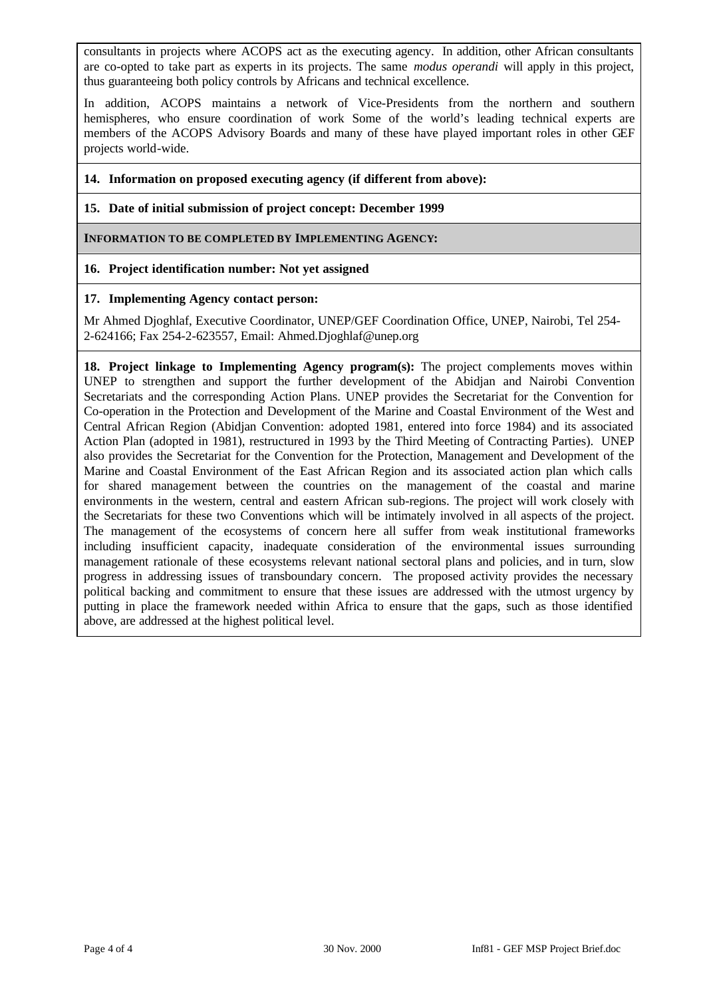consultants in projects where ACOPS act as the executing agency. In addition, other African consultants are co-opted to take part as experts in its projects. The same *modus operandi* will apply in this project, thus guaranteeing both policy controls by Africans and technical excellence.

In addition, ACOPS maintains a network of Vice-Presidents from the northern and southern hemispheres, who ensure coordination of work Some of the world's leading technical experts are members of the ACOPS Advisory Boards and many of these have played important roles in other GEF projects world-wide.

# **14. Information on proposed executing agency (if different from above):**

# **15. Date of initial submission of project concept: December 1999**

**INFORMATION TO BE COMPLETED BY IMPLEMENTING AGENCY:**

# **16. Project identification number: Not yet assigned**

### **17. Implementing Agency contact person:**

Mr Ahmed Djoghlaf, Executive Coordinator, UNEP/GEF Coordination Office, UNEP, Nairobi, Tel 254- 2-624166; Fax 254-2-623557, Email: Ahmed.Djoghlaf@unep.org

**18. Project linkage to Implementing Agency program(s):** The project complements moves within UNEP to strengthen and support the further development of the Abidjan and Nairobi Convention Secretariats and the corresponding Action Plans. UNEP provides the Secretariat for the Convention for Co-operation in the Protection and Development of the Marine and Coastal Environment of the West and Central African Region (Abidjan Convention: adopted 1981, entered into force 1984) and its associated Action Plan (adopted in 1981), restructured in 1993 by the Third Meeting of Contracting Parties). UNEP also provides the Secretariat for the Convention for the Protection, Management and Development of the Marine and Coastal Environment of the East African Region and its associated action plan which calls for shared management between the countries on the management of the coastal and marine environments in the western, central and eastern African sub-regions. The project will work closely with the Secretariats for these two Conventions which will be intimately involved in all aspects of the project. The management of the ecosystems of concern here all suffer from weak institutional frameworks including insufficient capacity, inadequate consideration of the environmental issues surrounding management rationale of these ecosystems relevant national sectoral plans and policies, and in turn, slow progress in addressing issues of transboundary concern. The proposed activity provides the necessary political backing and commitment to ensure that these issues are addressed with the utmost urgency by putting in place the framework needed within Africa to ensure that the gaps, such as those identified above, are addressed at the highest political level.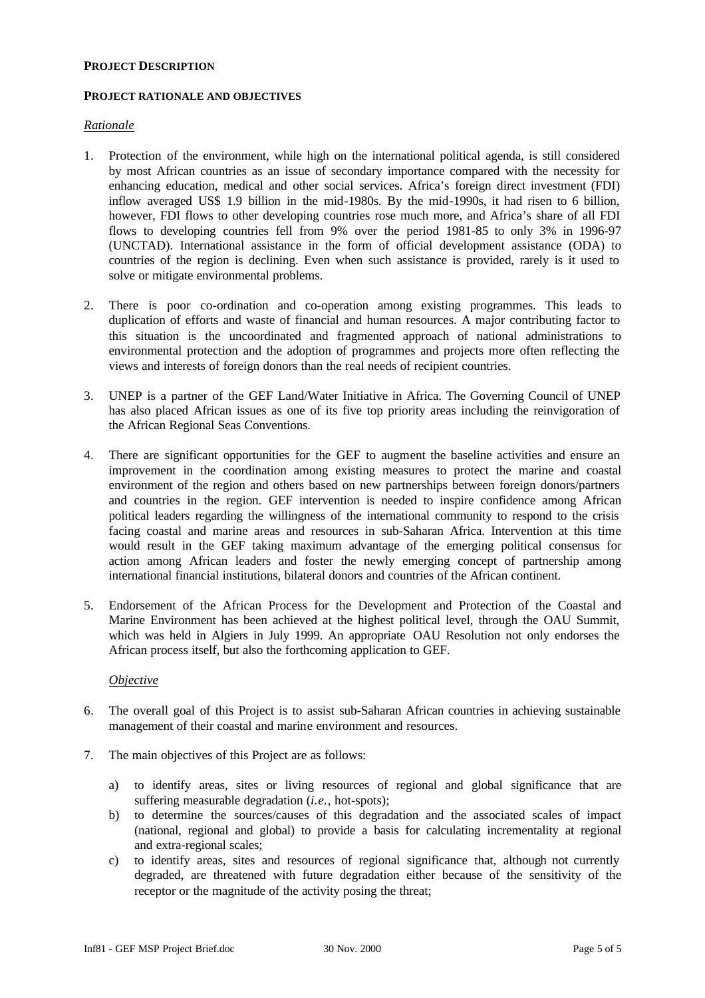### **PROJECT DESCRIPTION**

### **PROJECT RATIONALE AND OBJECTIVES**

### *Rationale*

- 1. Protection of the environment, while high on the international political agenda, is still considered by most African countries as an issue of secondary importance compared with the necessity for enhancing education, medical and other social services. Africa's foreign direct investment (FDI) inflow averaged US\$ 1.9 billion in the mid-1980s. By the mid-1990s, it had risen to 6 billion, however, FDI flows to other developing countries rose much more, and Africa's share of all FDI flows to developing countries fell from 9% over the period 1981-85 to only 3% in 1996-97 (UNCTAD). International assistance in the form of official development assistance (ODA) to countries of the region is declining. Even when such assistance is provided, rarely is it used to solve or mitigate environmental problems.
- 2. There is poor co-ordination and co-operation among existing programmes. This leads to duplication of efforts and waste of financial and human resources. A major contributing factor to this situation is the uncoordinated and fragmented approach of national administrations to environmental protection and the adoption of programmes and projects more often reflecting the views and interests of foreign donors than the real needs of recipient countries.
- 3. UNEP is a partner of the GEF Land/Water Initiative in Africa. The Governing Council of UNEP has also placed African issues as one of its five top priority areas including the reinvigoration of the African Regional Seas Conventions.
- 4. There are significant opportunities for the GEF to augment the baseline activities and ensure an improvement in the coordination among existing measures to protect the marine and coastal environment of the region and others based on new partnerships between foreign donors/partners and countries in the region. GEF intervention is needed to inspire confidence among African political leaders regarding the willingness of the international community to respond to the crisis facing coastal and marine areas and resources in sub-Saharan Africa. Intervention at this time would result in the GEF taking maximum advantage of the emerging political consensus for action among African leaders and foster the newly emerging concept of partnership among international financial institutions, bilateral donors and countries of the African continent.
- 5. Endorsement of the African Process for the Development and Protection of the Coastal and Marine Environment has been achieved at the highest political level, through the OAU Summit, which was held in Algiers in July 1999. An appropriate OAU Resolution not only endorses the African process itself, but also the forthcoming application to GEF.

# *Objective*

- 6. The overall goal of this Project is to assist sub-Saharan African countries in achieving sustainable management of their coastal and marine environment and resources.
- 7. The main objectives of this Project are as follows:
	- a) to identify areas, sites or living resources of regional and global significance that are suffering measurable degradation (*i.e.*, hot-spots);
	- b) to determine the sources/causes of this degradation and the associated scales of impact (national, regional and global) to provide a basis for calculating incrementality at regional and extra-regional scales;
	- c) to identify areas, sites and resources of regional significance that, although not currently degraded, are threatened with future degradation either because of the sensitivity of the receptor or the magnitude of the activity posing the threat;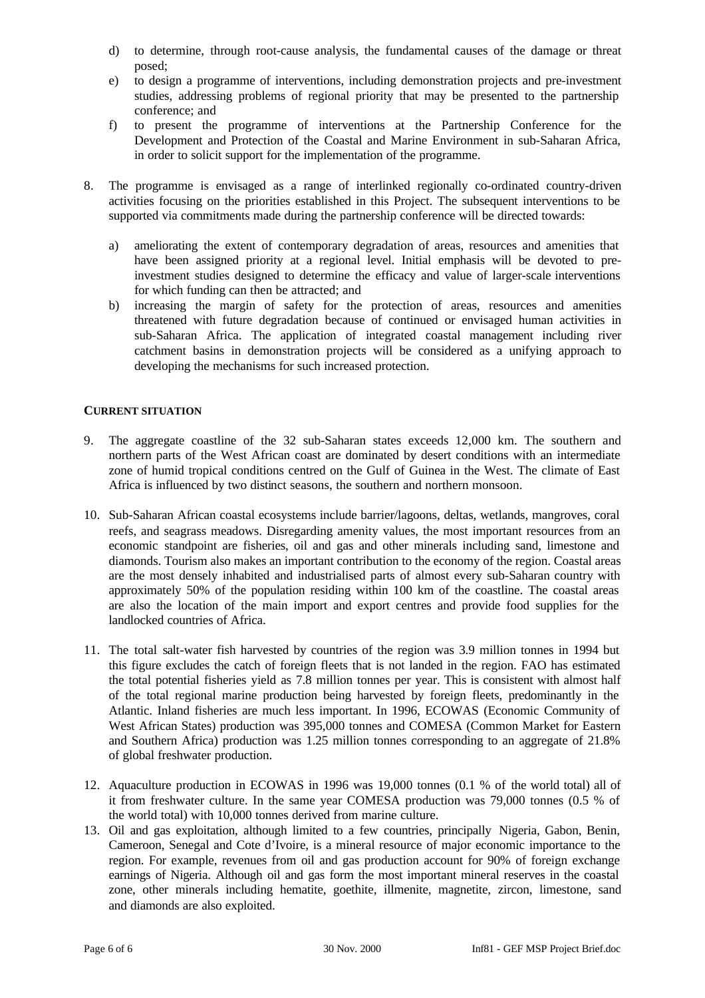- d) to determine, through root-cause analysis, the fundamental causes of the damage or threat posed;
- e) to design a programme of interventions, including demonstration projects and pre-investment studies, addressing problems of regional priority that may be presented to the partnership conference; and
- f) to present the programme of interventions at the Partnership Conference for the Development and Protection of the Coastal and Marine Environment in sub-Saharan Africa, in order to solicit support for the implementation of the programme.
- 8. The programme is envisaged as a range of interlinked regionally co-ordinated country-driven activities focusing on the priorities established in this Project. The subsequent interventions to be supported via commitments made during the partnership conference will be directed towards:
	- a) ameliorating the extent of contemporary degradation of areas, resources and amenities that have been assigned priority at a regional level. Initial emphasis will be devoted to preinvestment studies designed to determine the efficacy and value of larger-scale interventions for which funding can then be attracted; and
	- b) increasing the margin of safety for the protection of areas, resources and amenities threatened with future degradation because of continued or envisaged human activities in sub-Saharan Africa. The application of integrated coastal management including river catchment basins in demonstration projects will be considered as a unifying approach to developing the mechanisms for such increased protection.

# **CURRENT SITUATION**

- 9. The aggregate coastline of the 32 sub-Saharan states exceeds 12,000 km. The southern and northern parts of the West African coast are dominated by desert conditions with an intermediate zone of humid tropical conditions centred on the Gulf of Guinea in the West. The climate of East Africa is influenced by two distinct seasons, the southern and northern monsoon.
- 10. Sub-Saharan African coastal ecosystems include barrier/lagoons, deltas, wetlands, mangroves, coral reefs, and seagrass meadows. Disregarding amenity values, the most important resources from an economic standpoint are fisheries, oil and gas and other minerals including sand, limestone and diamonds. Tourism also makes an important contribution to the economy of the region. Coastal areas are the most densely inhabited and industrialised parts of almost every sub-Saharan country with approximately 50% of the population residing within 100 km of the coastline. The coastal areas are also the location of the main import and export centres and provide food supplies for the landlocked countries of Africa.
- 11. The total salt-water fish harvested by countries of the region was 3.9 million tonnes in 1994 but this figure excludes the catch of foreign fleets that is not landed in the region. FAO has estimated the total potential fisheries yield as 7.8 million tonnes per year. This is consistent with almost half of the total regional marine production being harvested by foreign fleets, predominantly in the Atlantic. Inland fisheries are much less important. In 1996, ECOWAS (Economic Community of West African States) production was 395,000 tonnes and COMESA (Common Market for Eastern and Southern Africa) production was 1.25 million tonnes corresponding to an aggregate of 21.8% of global freshwater production.
- 12. Aquaculture production in ECOWAS in 1996 was 19,000 tonnes (0.1 % of the world total) all of it from freshwater culture. In the same year COMESA production was 79,000 tonnes (0.5 % of the world total) with 10,000 tonnes derived from marine culture.
- 13. Oil and gas exploitation, although limited to a few countries, principally Nigeria, Gabon, Benin, Cameroon, Senegal and Cote d'Ivoire, is a mineral resource of major economic importance to the region. For example, revenues from oil and gas production account for 90% of foreign exchange earnings of Nigeria. Although oil and gas form the most important mineral reserves in the coastal zone, other minerals including hematite, goethite, illmenite, magnetite, zircon, limestone, sand and diamonds are also exploited.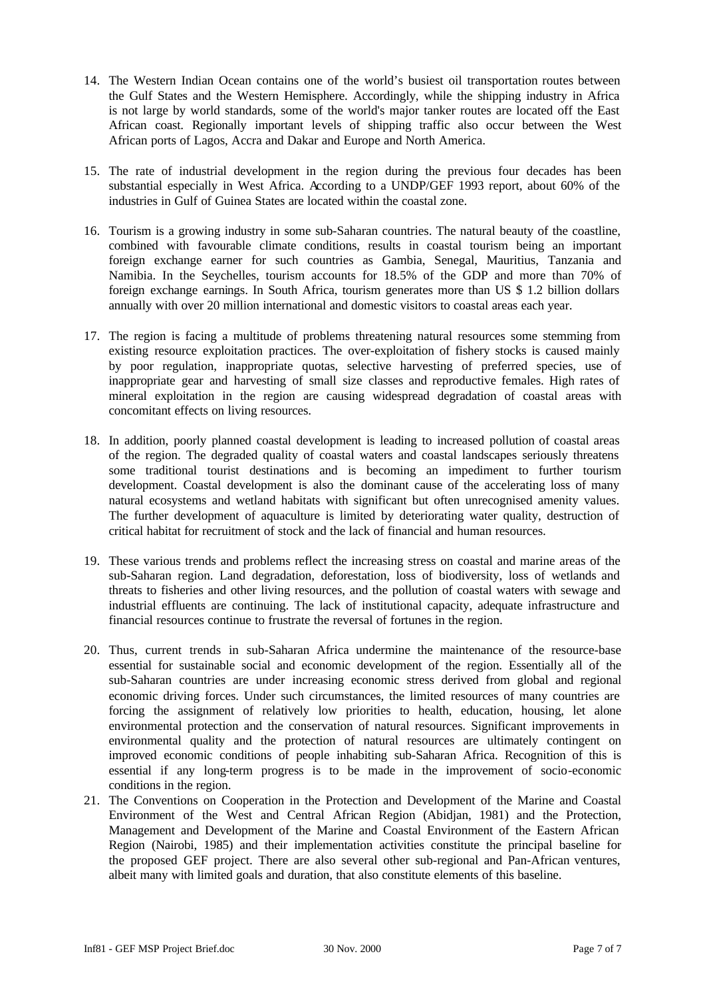- 14. The Western Indian Ocean contains one of the world's busiest oil transportation routes between the Gulf States and the Western Hemisphere. Accordingly, while the shipping industry in Africa is not large by world standards, some of the world's major tanker routes are located off the East African coast. Regionally important levels of shipping traffic also occur between the West African ports of Lagos, Accra and Dakar and Europe and North America.
- 15. The rate of industrial development in the region during the previous four decades has been substantial especially in West Africa. According to a UNDP/GEF 1993 report, about 60% of the industries in Gulf of Guinea States are located within the coastal zone.
- 16. Tourism is a growing industry in some sub-Saharan countries. The natural beauty of the coastline, combined with favourable climate conditions, results in coastal tourism being an important foreign exchange earner for such countries as Gambia, Senegal, Mauritius, Tanzania and Namibia. In the Seychelles, tourism accounts for 18.5% of the GDP and more than 70% of foreign exchange earnings. In South Africa, tourism generates more than US \$ 1.2 billion dollars annually with over 20 million international and domestic visitors to coastal areas each year.
- 17. The region is facing a multitude of problems threatening natural resources some stemming from existing resource exploitation practices. The over-exploitation of fishery stocks is caused mainly by poor regulation, inappropriate quotas, selective harvesting of preferred species, use of inappropriate gear and harvesting of small size classes and reproductive females. High rates of mineral exploitation in the region are causing widespread degradation of coastal areas with concomitant effects on living resources.
- 18. In addition, poorly planned coastal development is leading to increased pollution of coastal areas of the region. The degraded quality of coastal waters and coastal landscapes seriously threatens some traditional tourist destinations and is becoming an impediment to further tourism development. Coastal development is also the dominant cause of the accelerating loss of many natural ecosystems and wetland habitats with significant but often unrecognised amenity values. The further development of aquaculture is limited by deteriorating water quality, destruction of critical habitat for recruitment of stock and the lack of financial and human resources.
- 19. These various trends and problems reflect the increasing stress on coastal and marine areas of the sub-Saharan region. Land degradation, deforestation, loss of biodiversity, loss of wetlands and threats to fisheries and other living resources, and the pollution of coastal waters with sewage and industrial effluents are continuing. The lack of institutional capacity, adequate infrastructure and financial resources continue to frustrate the reversal of fortunes in the region.
- 20. Thus, current trends in sub-Saharan Africa undermine the maintenance of the resource-base essential for sustainable social and economic development of the region. Essentially all of the sub-Saharan countries are under increasing economic stress derived from global and regional economic driving forces. Under such circumstances, the limited resources of many countries are forcing the assignment of relatively low priorities to health, education, housing, let alone environmental protection and the conservation of natural resources. Significant improvements in environmental quality and the protection of natural resources are ultimately contingent on improved economic conditions of people inhabiting sub-Saharan Africa. Recognition of this is essential if any long-term progress is to be made in the improvement of socio-economic conditions in the region.
- 21. The Conventions on Cooperation in the Protection and Development of the Marine and Coastal Environment of the West and Central African Region (Abidjan, 1981) and the Protection, Management and Development of the Marine and Coastal Environment of the Eastern African Region (Nairobi, 1985) and their implementation activities constitute the principal baseline for the proposed GEF project. There are also several other sub-regional and Pan-African ventures, albeit many with limited goals and duration, that also constitute elements of this baseline.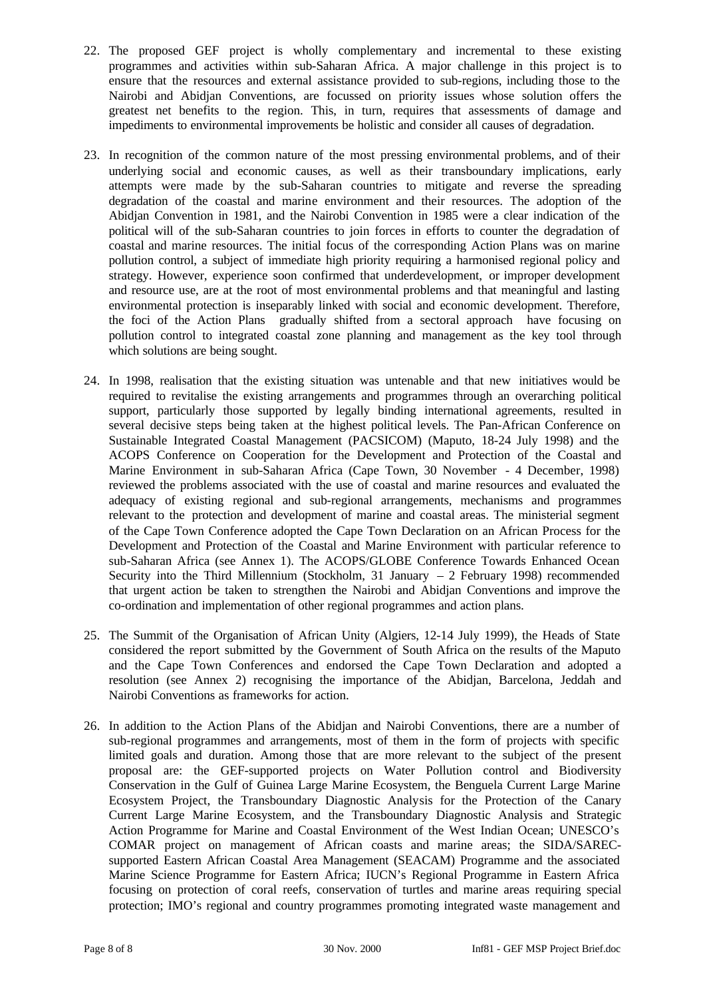- 22. The proposed GEF project is wholly complementary and incremental to these existing programmes and activities within sub-Saharan Africa. A major challenge in this project is to ensure that the resources and external assistance provided to sub-regions, including those to the Nairobi and Abidjan Conventions, are focussed on priority issues whose solution offers the greatest net benefits to the region. This, in turn, requires that assessments of damage and impediments to environmental improvements be holistic and consider all causes of degradation.
- 23. In recognition of the common nature of the most pressing environmental problems, and of their underlying social and economic causes, as well as their transboundary implications, early attempts were made by the sub-Saharan countries to mitigate and reverse the spreading degradation of the coastal and marine environment and their resources. The adoption of the Abidjan Convention in 1981, and the Nairobi Convention in 1985 were a clear indication of the political will of the sub-Saharan countries to join forces in efforts to counter the degradation of coastal and marine resources. The initial focus of the corresponding Action Plans was on marine pollution control, a subject of immediate high priority requiring a harmonised regional policy and strategy. However, experience soon confirmed that underdevelopment, or improper development and resource use, are at the root of most environmental problems and that meaningful and lasting environmental protection is inseparably linked with social and economic development. Therefore, the foci of the Action Plans gradually shifted from a sectoral approach have focusing on pollution control to integrated coastal zone planning and management as the key tool through which solutions are being sought.
- 24. In 1998, realisation that the existing situation was untenable and that new initiatives would be required to revitalise the existing arrangements and programmes through an overarching political support, particularly those supported by legally binding international agreements, resulted in several decisive steps being taken at the highest political levels. The Pan-African Conference on Sustainable Integrated Coastal Management (PACSICOM) (Maputo, 18-24 July 1998) and the ACOPS Conference on Cooperation for the Development and Protection of the Coastal and Marine Environment in sub-Saharan Africa (Cape Town, 30 November - 4 December, 1998) reviewed the problems associated with the use of coastal and marine resources and evaluated the adequacy of existing regional and sub-regional arrangements, mechanisms and programmes relevant to the protection and development of marine and coastal areas. The ministerial segment of the Cape Town Conference adopted the Cape Town Declaration on an African Process for the Development and Protection of the Coastal and Marine Environment with particular reference to sub-Saharan Africa (see Annex 1). The ACOPS/GLOBE Conference Towards Enhanced Ocean Security into the Third Millennium (Stockholm, 31 January  $-2$  February 1998) recommended that urgent action be taken to strengthen the Nairobi and Abidjan Conventions and improve the co-ordination and implementation of other regional programmes and action plans.
- 25. The Summit of the Organisation of African Unity (Algiers, 12-14 July 1999), the Heads of State considered the report submitted by the Government of South Africa on the results of the Maputo and the Cape Town Conferences and endorsed the Cape Town Declaration and adopted a resolution (see Annex 2) recognising the importance of the Abidjan, Barcelona, Jeddah and Nairobi Conventions as frameworks for action.
- 26. In addition to the Action Plans of the Abidjan and Nairobi Conventions, there are a number of sub-regional programmes and arrangements, most of them in the form of projects with specific limited goals and duration. Among those that are more relevant to the subject of the present proposal are: the GEF-supported projects on Water Pollution control and Biodiversity Conservation in the Gulf of Guinea Large Marine Ecosystem, the Benguela Current Large Marine Ecosystem Project, the Transboundary Diagnostic Analysis for the Protection of the Canary Current Large Marine Ecosystem, and the Transboundary Diagnostic Analysis and Strategic Action Programme for Marine and Coastal Environment of the West Indian Ocean; UNESCO's COMAR project on management of African coasts and marine areas; the SIDA/SARECsupported Eastern African Coastal Area Management (SEACAM) Programme and the associated Marine Science Programme for Eastern Africa; IUCN's Regional Programme in Eastern Africa focusing on protection of coral reefs, conservation of turtles and marine areas requiring special protection; IMO's regional and country programmes promoting integrated waste management and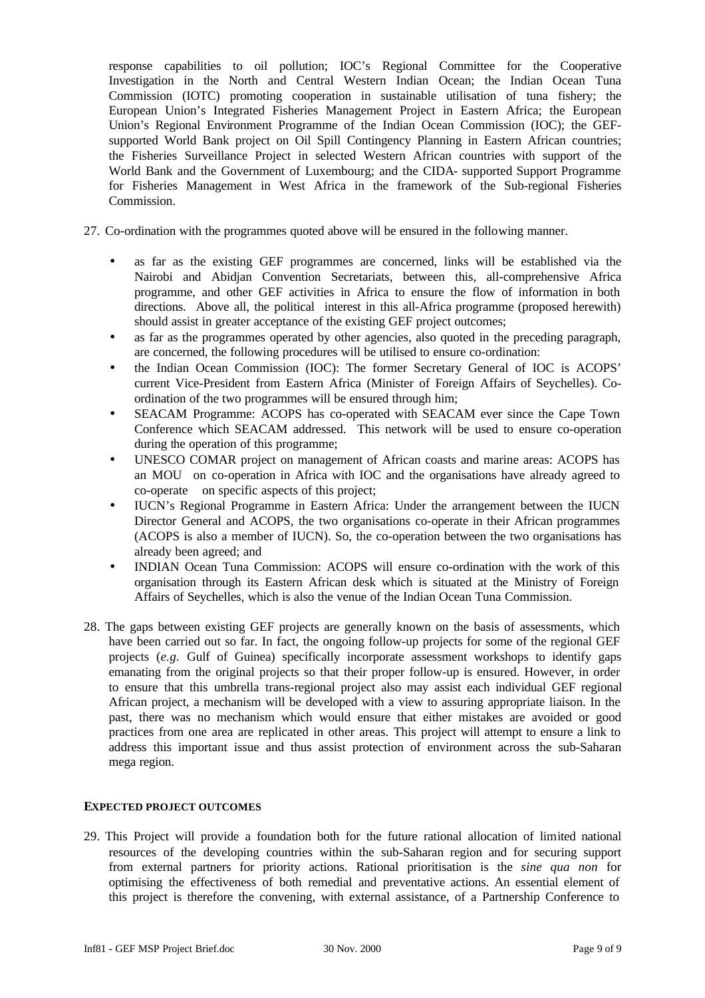response capabilities to oil pollution; IOC's Regional Committee for the Cooperative Investigation in the North and Central Western Indian Ocean; the Indian Ocean Tuna Commission (IOTC) promoting cooperation in sustainable utilisation of tuna fishery; the European Union's Integrated Fisheries Management Project in Eastern Africa; the European Union's Regional Environment Programme of the Indian Ocean Commission (IOC); the GEFsupported World Bank project on Oil Spill Contingency Planning in Eastern African countries; the Fisheries Surveillance Project in selected Western African countries with support of the World Bank and the Government of Luxembourg; and the CIDA- supported Support Programme for Fisheries Management in West Africa in the framework of the Sub-regional Fisheries Commission.

- 27. Co-ordination with the programmes quoted above will be ensured in the following manner.
	- as far as the existing GEF programmes are concerned, links will be established via the Nairobi and Abidjan Convention Secretariats, between this, all-comprehensive Africa programme, and other GEF activities in Africa to ensure the flow of information in both directions. Above all, the political interest in this all-Africa programme (proposed herewith) should assist in greater acceptance of the existing GEF project outcomes;
	- as far as the programmes operated by other agencies, also quoted in the preceding paragraph, are concerned, the following procedures will be utilised to ensure co-ordination:
	- the Indian Ocean Commission (IOC): The former Secretary General of IOC is ACOPS' current Vice-President from Eastern Africa (Minister of Foreign Affairs of Seychelles). Coordination of the two programmes will be ensured through him;
	- SEACAM Programme: ACOPS has co-operated with SEACAM ever since the Cape Town Conference which SEACAM addressed. This network will be used to ensure co-operation during the operation of this programme;
	- UNESCO COMAR project on management of African coasts and marine areas: ACOPS has an MOU on co-operation in Africa with IOC and the organisations have already agreed to co-operate on specific aspects of this project;
	- IUCN's Regional Programme in Eastern Africa: Under the arrangement between the IUCN Director General and ACOPS, the two organisations co-operate in their African programmes (ACOPS is also a member of IUCN). So, the co-operation between the two organisations has already been agreed; and
	- INDIAN Ocean Tuna Commission: ACOPS will ensure co-ordination with the work of this organisation through its Eastern African desk which is situated at the Ministry of Foreign Affairs of Seychelles, which is also the venue of the Indian Ocean Tuna Commission.
- 28. The gaps between existing GEF projects are generally known on the basis of assessments, which have been carried out so far. In fact, the ongoing follow-up projects for some of the regional GEF projects (*e.g.* Gulf of Guinea) specifically incorporate assessment workshops to identify gaps emanating from the original projects so that their proper follow-up is ensured. However, in order to ensure that this umbrella trans-regional project also may assist each individual GEF regional African project, a mechanism will be developed with a view to assuring appropriate liaison. In the past, there was no mechanism which would ensure that either mistakes are avoided or good practices from one area are replicated in other areas. This project will attempt to ensure a link to address this important issue and thus assist protection of environment across the sub-Saharan mega region.

### **EXPECTED PROJECT OUTCOMES**

29. This Project will provide a foundation both for the future rational allocation of limited national resources of the developing countries within the sub-Saharan region and for securing support from external partners for priority actions. Rational prioritisation is the *sine qua non* for optimising the effectiveness of both remedial and preventative actions. An essential element of this project is therefore the convening, with external assistance, of a Partnership Conference to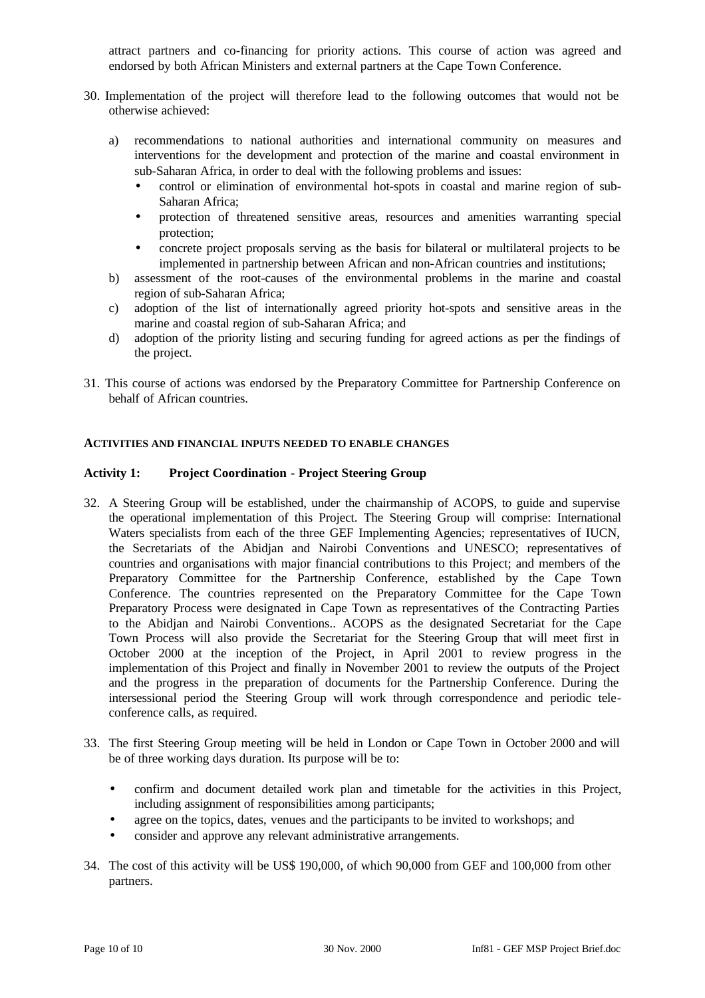attract partners and co-financing for priority actions. This course of action was agreed and endorsed by both African Ministers and external partners at the Cape Town Conference.

- 30. Implementation of the project will therefore lead to the following outcomes that would not be otherwise achieved:
	- a) recommendations to national authorities and international community on measures and interventions for the development and protection of the marine and coastal environment in sub-Saharan Africa, in order to deal with the following problems and issues:
		- control or elimination of environmental hot-spots in coastal and marine region of sub-Saharan Africa;
		- protection of threatened sensitive areas, resources and amenities warranting special protection;
		- concrete project proposals serving as the basis for bilateral or multilateral projects to be implemented in partnership between African and non-African countries and institutions;
	- b) assessment of the root-causes of the environmental problems in the marine and coastal region of sub-Saharan Africa;
	- c) adoption of the list of internationally agreed priority hot-spots and sensitive areas in the marine and coastal region of sub-Saharan Africa; and
	- d) adoption of the priority listing and securing funding for agreed actions as per the findings of the project.
- 31. This course of actions was endorsed by the Preparatory Committee for Partnership Conference on behalf of African countries.

### **ACTIVITIES AND FINANCIAL INPUTS NEEDED TO ENABLE CHANGES**

## **Activity 1: Project Coordination - Project Steering Group**

- 32. A Steering Group will be established, under the chairmanship of ACOPS, to guide and supervise the operational implementation of this Project. The Steering Group will comprise: International Waters specialists from each of the three GEF Implementing Agencies; representatives of IUCN, the Secretariats of the Abidjan and Nairobi Conventions and UNESCO; representatives of countries and organisations with major financial contributions to this Project; and members of the Preparatory Committee for the Partnership Conference, established by the Cape Town Conference. The countries represented on the Preparatory Committee for the Cape Town Preparatory Process were designated in Cape Town as representatives of the Contracting Parties to the Abidjan and Nairobi Conventions.. ACOPS as the designated Secretariat for the Cape Town Process will also provide the Secretariat for the Steering Group that will meet first in October 2000 at the inception of the Project, in April 2001 to review progress in the implementation of this Project and finally in November 2001 to review the outputs of the Project and the progress in the preparation of documents for the Partnership Conference. During the intersessional period the Steering Group will work through correspondence and periodic teleconference calls, as required.
- 33. The first Steering Group meeting will be held in London or Cape Town in October 2000 and will be of three working days duration. Its purpose will be to:
	- confirm and document detailed work plan and timetable for the activities in this Project, including assignment of responsibilities among participants;
	- agree on the topics, dates, venues and the participants to be invited to workshops; and
	- consider and approve any relevant administrative arrangements.
- 34. The cost of this activity will be US\$ 190,000, of which 90,000 from GEF and 100,000 from other partners.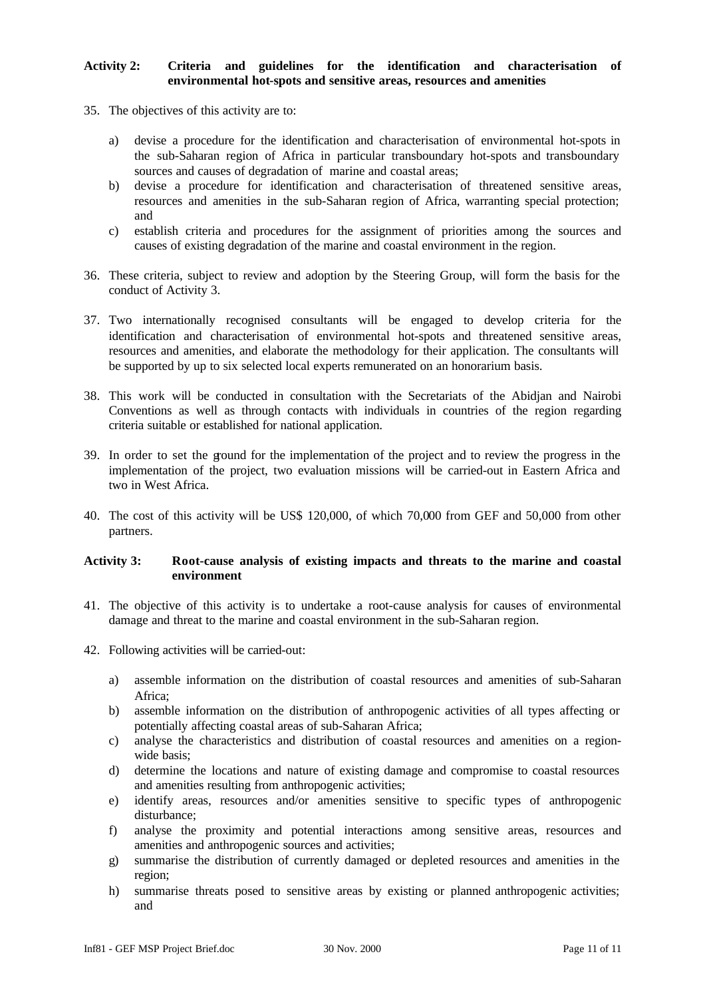# **Activity 2: Criteria and guidelines for the identification and characterisation of environmental hot-spots and sensitive areas, resources and amenities**

- 35. The objectives of this activity are to:
	- a) devise a procedure for the identification and characterisation of environmental hot-spots in the sub-Saharan region of Africa in particular transboundary hot-spots and transboundary sources and causes of degradation of marine and coastal areas;
	- b) devise a procedure for identification and characterisation of threatened sensitive areas, resources and amenities in the sub-Saharan region of Africa, warranting special protection; and
	- c) establish criteria and procedures for the assignment of priorities among the sources and causes of existing degradation of the marine and coastal environment in the region.
- 36. These criteria, subject to review and adoption by the Steering Group, will form the basis for the conduct of Activity 3.
- 37. Two internationally recognised consultants will be engaged to develop criteria for the identification and characterisation of environmental hot-spots and threatened sensitive areas, resources and amenities, and elaborate the methodology for their application. The consultants will be supported by up to six selected local experts remunerated on an honorarium basis.
- 38. This work will be conducted in consultation with the Secretariats of the Abidjan and Nairobi Conventions as well as through contacts with individuals in countries of the region regarding criteria suitable or established for national application.
- 39. In order to set the ground for the implementation of the project and to review the progress in the implementation of the project, two evaluation missions will be carried-out in Eastern Africa and two in West Africa.
- 40. The cost of this activity will be US\$ 120,000, of which 70,000 from GEF and 50,000 from other partners.

### **Activity 3: Root-cause analysis of existing impacts and threats to the marine and coastal environment**

- 41. The objective of this activity is to undertake a root-cause analysis for causes of environmental damage and threat to the marine and coastal environment in the sub-Saharan region.
- 42. Following activities will be carried-out:
	- a) assemble information on the distribution of coastal resources and amenities of sub-Saharan Africa;
	- b) assemble information on the distribution of anthropogenic activities of all types affecting or potentially affecting coastal areas of sub-Saharan Africa;
	- c) analyse the characteristics and distribution of coastal resources and amenities on a regionwide basis;
	- d) determine the locations and nature of existing damage and compromise to coastal resources and amenities resulting from anthropogenic activities;
	- e) identify areas, resources and/or amenities sensitive to specific types of anthropogenic disturbance;
	- f) analyse the proximity and potential interactions among sensitive areas, resources and amenities and anthropogenic sources and activities;
	- g) summarise the distribution of currently damaged or depleted resources and amenities in the region;
	- h) summarise threats posed to sensitive areas by existing or planned anthropogenic activities; and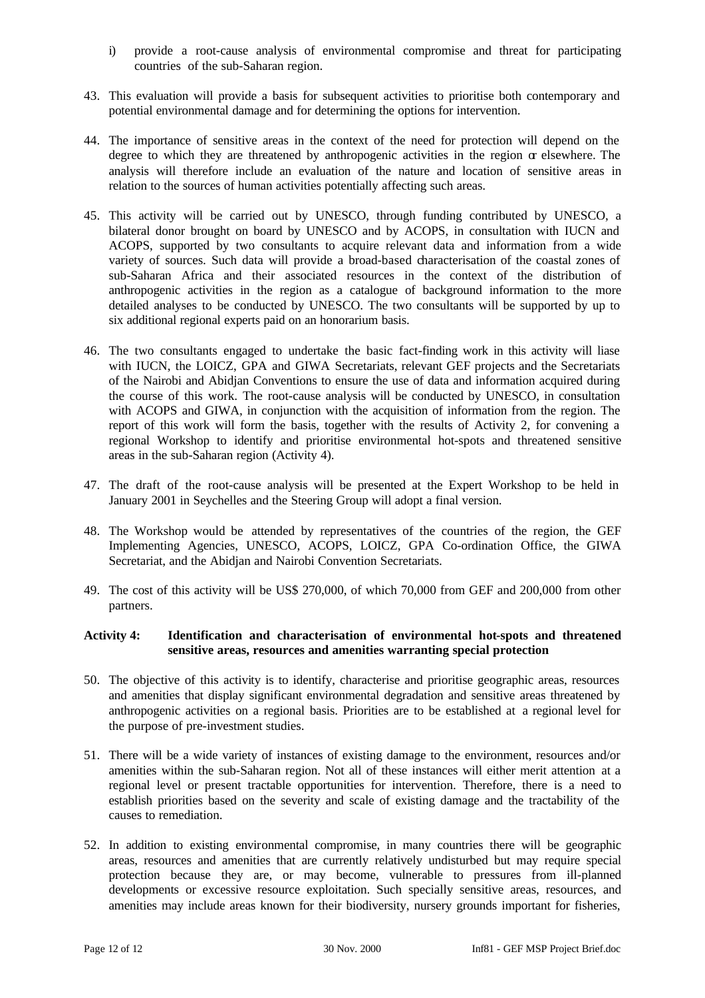- i) provide a root-cause analysis of environmental compromise and threat for participating countries of the sub-Saharan region.
- 43. This evaluation will provide a basis for subsequent activities to prioritise both contemporary and potential environmental damage and for determining the options for intervention.
- 44. The importance of sensitive areas in the context of the need for protection will depend on the degree to which they are threatened by anthropogenic activities in the region  $\alpha$  elsewhere. The analysis will therefore include an evaluation of the nature and location of sensitive areas in relation to the sources of human activities potentially affecting such areas.
- 45. This activity will be carried out by UNESCO, through funding contributed by UNESCO, a bilateral donor brought on board by UNESCO and by ACOPS, in consultation with IUCN and ACOPS, supported by two consultants to acquire relevant data and information from a wide variety of sources. Such data will provide a broad-based characterisation of the coastal zones of sub-Saharan Africa and their associated resources in the context of the distribution of anthropogenic activities in the region as a catalogue of background information to the more detailed analyses to be conducted by UNESCO. The two consultants will be supported by up to six additional regional experts paid on an honorarium basis.
- 46. The two consultants engaged to undertake the basic fact-finding work in this activity will liase with IUCN, the LOICZ, GPA and GIWA Secretariats, relevant GEF projects and the Secretariats of the Nairobi and Abidjan Conventions to ensure the use of data and information acquired during the course of this work. The root-cause analysis will be conducted by UNESCO, in consultation with ACOPS and GIWA, in conjunction with the acquisition of information from the region. The report of this work will form the basis, together with the results of Activity 2, for convening a regional Workshop to identify and prioritise environmental hot-spots and threatened sensitive areas in the sub-Saharan region (Activity 4).
- 47. The draft of the root-cause analysis will be presented at the Expert Workshop to be held in January 2001 in Seychelles and the Steering Group will adopt a final version.
- 48. The Workshop would be attended by representatives of the countries of the region, the GEF Implementing Agencies, UNESCO, ACOPS, LOICZ, GPA Co-ordination Office, the GIWA Secretariat, and the Abidjan and Nairobi Convention Secretariats.
- 49. The cost of this activity will be US\$ 270,000, of which 70,000 from GEF and 200,000 from other partners.

# **Activity 4: Identification and characterisation of environmental hot-spots and threatened sensitive areas, resources and amenities warranting special protection**

- 50. The objective of this activity is to identify, characterise and prioritise geographic areas, resources and amenities that display significant environmental degradation and sensitive areas threatened by anthropogenic activities on a regional basis. Priorities are to be established at a regional level for the purpose of pre-investment studies.
- 51. There will be a wide variety of instances of existing damage to the environment, resources and/or amenities within the sub-Saharan region. Not all of these instances will either merit attention at a regional level or present tractable opportunities for intervention. Therefore, there is a need to establish priorities based on the severity and scale of existing damage and the tractability of the causes to remediation.
- 52. In addition to existing environmental compromise, in many countries there will be geographic areas, resources and amenities that are currently relatively undisturbed but may require special protection because they are, or may become, vulnerable to pressures from ill-planned developments or excessive resource exploitation. Such specially sensitive areas, resources, and amenities may include areas known for their biodiversity, nursery grounds important for fisheries,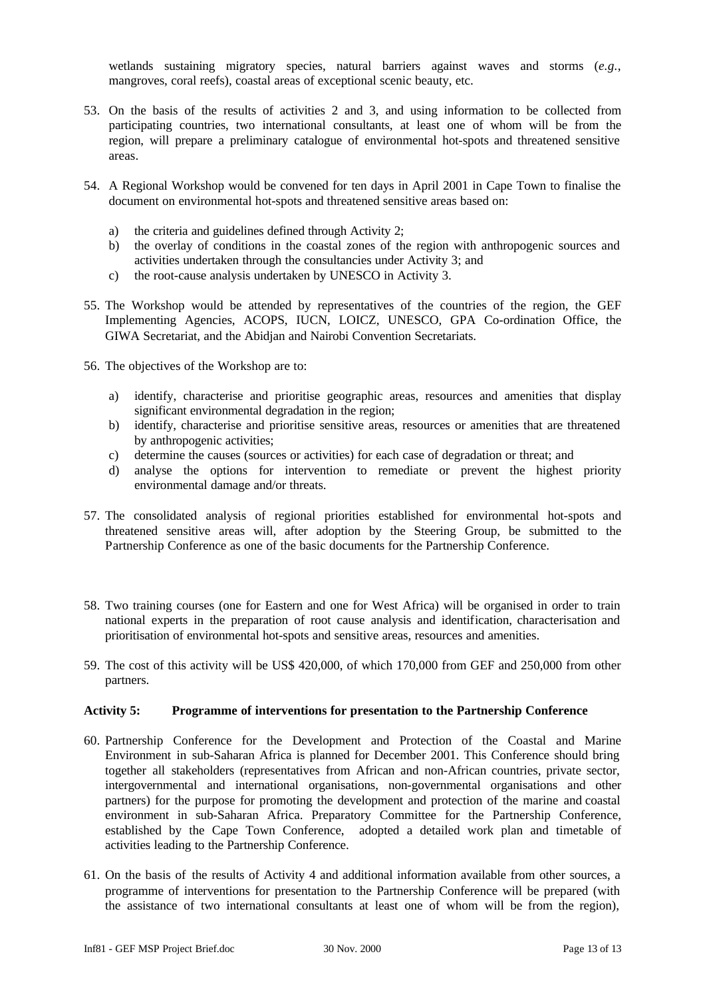wetlands sustaining migratory species, natural barriers against waves and storms (*e.g.*, mangroves, coral reefs), coastal areas of exceptional scenic beauty, etc.

- 53. On the basis of the results of activities 2 and 3, and using information to be collected from participating countries, two international consultants, at least one of whom will be from the region, will prepare a preliminary catalogue of environmental hot-spots and threatened sensitive areas.
- 54. A Regional Workshop would be convened for ten days in April 2001 in Cape Town to finalise the document on environmental hot-spots and threatened sensitive areas based on:
	- a) the criteria and guidelines defined through Activity 2;
	- b) the overlay of conditions in the coastal zones of the region with anthropogenic sources and activities undertaken through the consultancies under Activity 3; and
	- c) the root-cause analysis undertaken by UNESCO in Activity 3.
- 55. The Workshop would be attended by representatives of the countries of the region, the GEF Implementing Agencies, ACOPS, IUCN, LOICZ, UNESCO, GPA Co-ordination Office, the GIWA Secretariat, and the Abidjan and Nairobi Convention Secretariats.
- 56. The objectives of the Workshop are to:
	- a) identify, characterise and prioritise geographic areas, resources and amenities that display significant environmental degradation in the region;
	- b) identify, characterise and prioritise sensitive areas, resources or amenities that are threatened by anthropogenic activities;
	- c) determine the causes (sources or activities) for each case of degradation or threat; and
	- d) analyse the options for intervention to remediate or prevent the highest priority environmental damage and/or threats.
- 57. The consolidated analysis of regional priorities established for environmental hot-spots and threatened sensitive areas will, after adoption by the Steering Group, be submitted to the Partnership Conference as one of the basic documents for the Partnership Conference.
- 58. Two training courses (one for Eastern and one for West Africa) will be organised in order to train national experts in the preparation of root cause analysis and identification, characterisation and prioritisation of environmental hot-spots and sensitive areas, resources and amenities.
- 59. The cost of this activity will be US\$ 420,000, of which 170,000 from GEF and 250,000 from other partners.

#### **Activity 5: Programme of interventions for presentation to the Partnership Conference**

- 60. Partnership Conference for the Development and Protection of the Coastal and Marine Environment in sub-Saharan Africa is planned for December 2001. This Conference should bring together all stakeholders (representatives from African and non-African countries, private sector, intergovernmental and international organisations, non-governmental organisations and other partners) for the purpose for promoting the development and protection of the marine and coastal environment in sub-Saharan Africa. Preparatory Committee for the Partnership Conference, established by the Cape Town Conference, adopted a detailed work plan and timetable of activities leading to the Partnership Conference.
- 61. On the basis of the results of Activity 4 and additional information available from other sources, a programme of interventions for presentation to the Partnership Conference will be prepared (with the assistance of two international consultants at least one of whom will be from the region),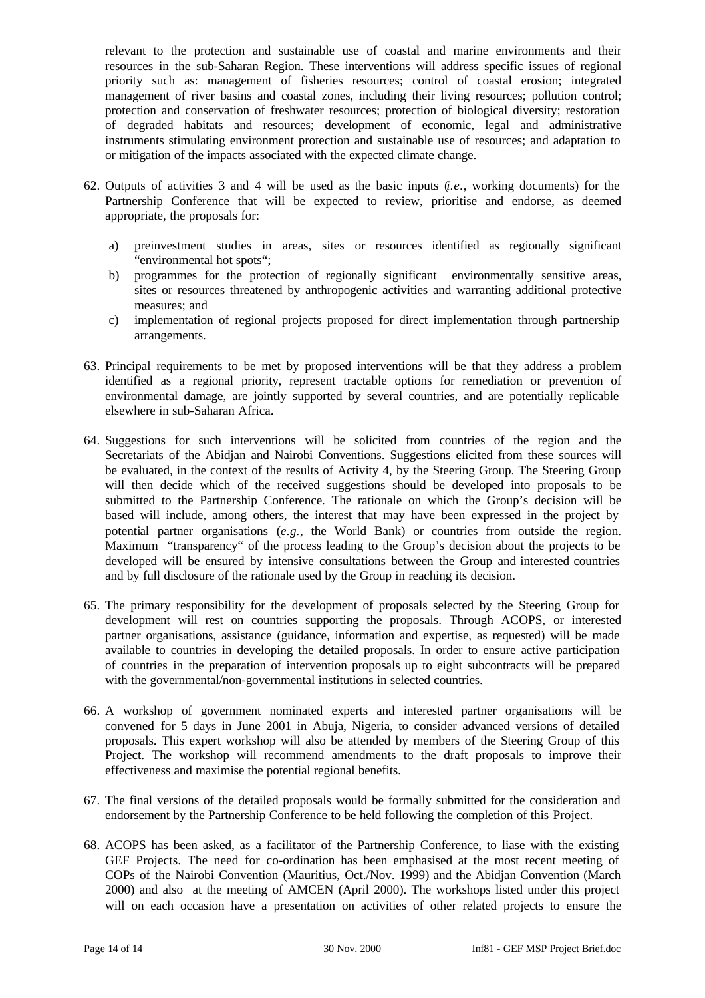relevant to the protection and sustainable use of coastal and marine environments and their resources in the sub-Saharan Region. These interventions will address specific issues of regional priority such as: management of fisheries resources; control of coastal erosion; integrated management of river basins and coastal zones, including their living resources; pollution control; protection and conservation of freshwater resources; protection of biological diversity; restoration of degraded habitats and resources; development of economic, legal and administrative instruments stimulating environment protection and sustainable use of resources; and adaptation to or mitigation of the impacts associated with the expected climate change.

- 62. Outputs of activities 3 and 4 will be used as the basic inputs (*i.e.*, working documents) for the Partnership Conference that will be expected to review, prioritise and endorse, as deemed appropriate, the proposals for:
	- a) preinvestment studies in areas, sites or resources identified as regionally significant "environmental hot spots";
	- b) programmes for the protection of regionally significant environmentally sensitive areas, sites or resources threatened by anthropogenic activities and warranting additional protective measures; and
	- c) implementation of regional projects proposed for direct implementation through partnership arrangements.
- 63. Principal requirements to be met by proposed interventions will be that they address a problem identified as a regional priority, represent tractable options for remediation or prevention of environmental damage, are jointly supported by several countries, and are potentially replicable elsewhere in sub-Saharan Africa.
- 64. Suggestions for such interventions will be solicited from countries of the region and the Secretariats of the Abidjan and Nairobi Conventions. Suggestions elicited from these sources will be evaluated, in the context of the results of Activity 4, by the Steering Group. The Steering Group will then decide which of the received suggestions should be developed into proposals to be submitted to the Partnership Conference. The rationale on which the Group's decision will be based will include, among others, the interest that may have been expressed in the project by potential partner organisations (*e.g.*, the World Bank) or countries from outside the region. Maximum "transparency" of the process leading to the Group's decision about the projects to be developed will be ensured by intensive consultations between the Group and interested countries and by full disclosure of the rationale used by the Group in reaching its decision.
- 65. The primary responsibility for the development of proposals selected by the Steering Group for development will rest on countries supporting the proposals. Through ACOPS, or interested partner organisations, assistance (guidance, information and expertise, as requested) will be made available to countries in developing the detailed proposals. In order to ensure active participation of countries in the preparation of intervention proposals up to eight subcontracts will be prepared with the governmental/non-governmental institutions in selected countries.
- 66. A workshop of government nominated experts and interested partner organisations will be convened for 5 days in June 2001 in Abuja, Nigeria, to consider advanced versions of detailed proposals. This expert workshop will also be attended by members of the Steering Group of this Project. The workshop will recommend amendments to the draft proposals to improve their effectiveness and maximise the potential regional benefits.
- 67. The final versions of the detailed proposals would be formally submitted for the consideration and endorsement by the Partnership Conference to be held following the completion of this Project.
- 68. ACOPS has been asked, as a facilitator of the Partnership Conference, to liase with the existing GEF Projects. The need for co-ordination has been emphasised at the most recent meeting of COPs of the Nairobi Convention (Mauritius, Oct./Nov. 1999) and the Abidjan Convention (March 2000) and also at the meeting of AMCEN (April 2000). The workshops listed under this project will on each occasion have a presentation on activities of other related projects to ensure the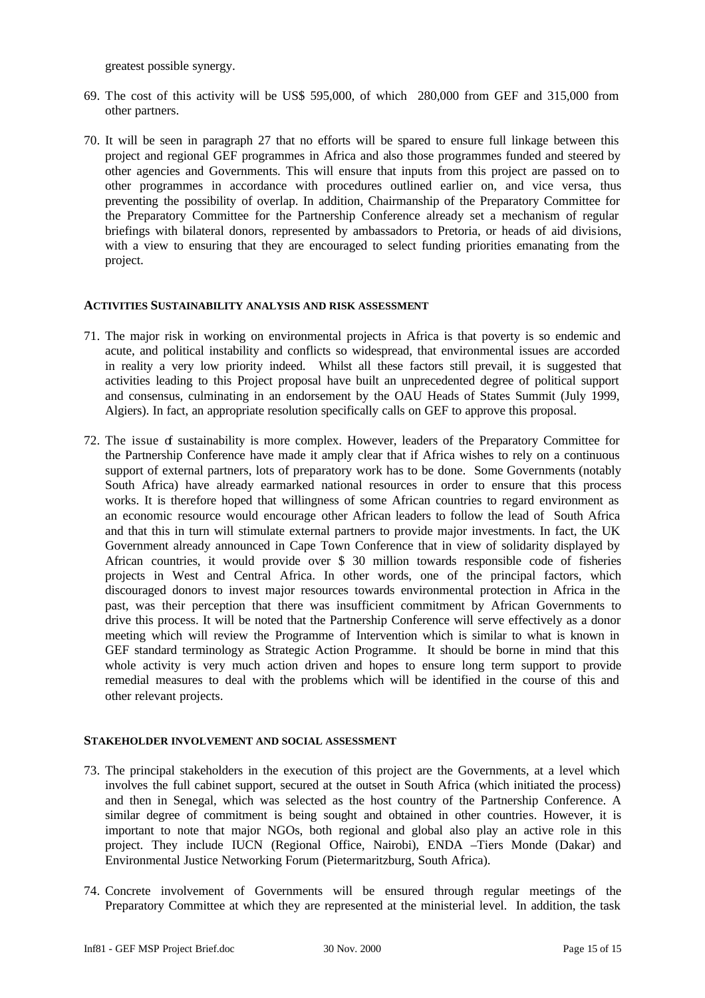greatest possible synergy.

- 69. The cost of this activity will be US\$ 595,000, of which 280,000 from GEF and 315,000 from other partners.
- 70. It will be seen in paragraph 27 that no efforts will be spared to ensure full linkage between this project and regional GEF programmes in Africa and also those programmes funded and steered by other agencies and Governments. This will ensure that inputs from this project are passed on to other programmes in accordance with procedures outlined earlier on, and vice versa, thus preventing the possibility of overlap. In addition, Chairmanship of the Preparatory Committee for the Preparatory Committee for the Partnership Conference already set a mechanism of regular briefings with bilateral donors, represented by ambassadors to Pretoria, or heads of aid divisions, with a view to ensuring that they are encouraged to select funding priorities emanating from the project.

### **ACTIVITIES SUSTAINABILITY ANALYSIS AND RISK ASSESSMENT**

- 71. The major risk in working on environmental projects in Africa is that poverty is so endemic and acute, and political instability and conflicts so widespread, that environmental issues are accorded in reality a very low priority indeed. Whilst all these factors still prevail, it is suggested that activities leading to this Project proposal have built an unprecedented degree of political support and consensus, culminating in an endorsement by the OAU Heads of States Summit (July 1999, Algiers). In fact, an appropriate resolution specifically calls on GEF to approve this proposal.
- 72. The issue of sustainability is more complex. However, leaders of the Preparatory Committee for the Partnership Conference have made it amply clear that if Africa wishes to rely on a continuous support of external partners, lots of preparatory work has to be done. Some Governments (notably South Africa) have already earmarked national resources in order to ensure that this process works. It is therefore hoped that willingness of some African countries to regard environment as an economic resource would encourage other African leaders to follow the lead of South Africa and that this in turn will stimulate external partners to provide major investments. In fact, the UK Government already announced in Cape Town Conference that in view of solidarity displayed by African countries, it would provide over \$ 30 million towards responsible code of fisheries projects in West and Central Africa. In other words, one of the principal factors, which discouraged donors to invest major resources towards environmental protection in Africa in the past, was their perception that there was insufficient commitment by African Governments to drive this process. It will be noted that the Partnership Conference will serve effectively as a donor meeting which will review the Programme of Intervention which is similar to what is known in GEF standard terminology as Strategic Action Programme. It should be borne in mind that this whole activity is very much action driven and hopes to ensure long term support to provide remedial measures to deal with the problems which will be identified in the course of this and other relevant projects.

# **STAKEHOLDER INVOLVEMENT AND SOCIAL ASSESSMENT**

- 73. The principal stakeholders in the execution of this project are the Governments, at a level which involves the full cabinet support, secured at the outset in South Africa (which initiated the process) and then in Senegal, which was selected as the host country of the Partnership Conference. A similar degree of commitment is being sought and obtained in other countries. However, it is important to note that major NGOs, both regional and global also play an active role in this project. They include IUCN (Regional Office, Nairobi), ENDA –Tiers Monde (Dakar) and Environmental Justice Networking Forum (Pietermaritzburg, South Africa).
- 74. Concrete involvement of Governments will be ensured through regular meetings of the Preparatory Committee at which they are represented at the ministerial level. In addition, the task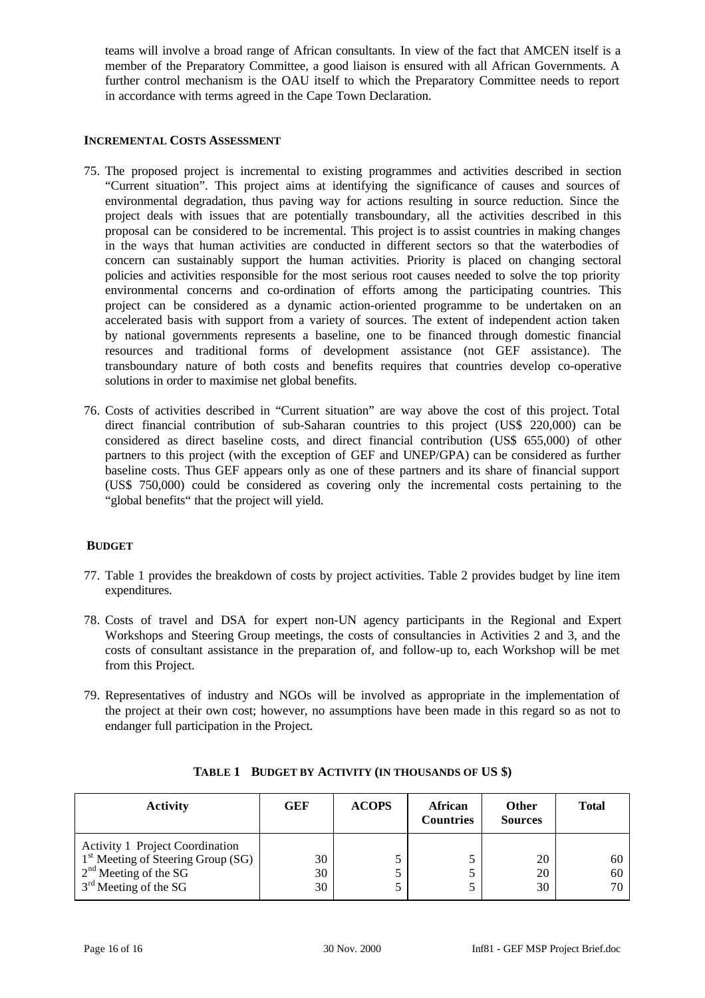teams will involve a broad range of African consultants. In view of the fact that AMCEN itself is a member of the Preparatory Committee, a good liaison is ensured with all African Governments. A further control mechanism is the OAU itself to which the Preparatory Committee needs to report in accordance with terms agreed in the Cape Town Declaration.

# **INCREMENTAL COSTS ASSESSMENT**

- 75. The proposed project is incremental to existing programmes and activities described in section "Current situation". This project aims at identifying the significance of causes and sources of environmental degradation, thus paving way for actions resulting in source reduction. Since the project deals with issues that are potentially transboundary, all the activities described in this proposal can be considered to be incremental. This project is to assist countries in making changes in the ways that human activities are conducted in different sectors so that the waterbodies of concern can sustainably support the human activities. Priority is placed on changing sectoral policies and activities responsible for the most serious root causes needed to solve the top priority environmental concerns and co-ordination of efforts among the participating countries. This project can be considered as a dynamic action-oriented programme to be undertaken on an accelerated basis with support from a variety of sources. The extent of independent action taken by national governments represents a baseline, one to be financed through domestic financial resources and traditional forms of development assistance (not GEF assistance). The transboundary nature of both costs and benefits requires that countries develop co-operative solutions in order to maximise net global benefits.
- 76. Costs of activities described in "Current situation" are way above the cost of this project. Total direct financial contribution of sub-Saharan countries to this project (US\$ 220,000) can be considered as direct baseline costs, and direct financial contribution (US\$ 655,000) of other partners to this project (with the exception of GEF and UNEP/GPA) can be considered as further baseline costs. Thus GEF appears only as one of these partners and its share of financial support (US\$ 750,000) could be considered as covering only the incremental costs pertaining to the "global benefits" that the project will yield.

# **BUDGET**

- 77. Table 1 provides the breakdown of costs by project activities. Table 2 provides budget by line item expenditures.
- 78. Costs of travel and DSA for expert non-UN agency participants in the Regional and Expert Workshops and Steering Group meetings, the costs of consultancies in Activities 2 and 3, and the costs of consultant assistance in the preparation of, and follow-up to, each Workshop will be met from this Project.
- 79. Representatives of industry and NGOs will be involved as appropriate in the implementation of the project at their own cost; however, no assumptions have been made in this regard so as not to endanger full participation in the Project.

| <b>Activity</b>                                                                                                                                | GEF            | <b>ACOPS</b> | <b>African</b><br><b>Countries</b> | <b>Other</b><br><b>Sources</b> | <b>Total</b>   |
|------------------------------------------------------------------------------------------------------------------------------------------------|----------------|--------------|------------------------------------|--------------------------------|----------------|
| <b>Activity 1 Project Coordination</b><br>1 <sup>st</sup> Meeting of Steering Group (SG)<br>$2nd$ Meeting of the SG<br>$3rd$ Meeting of the SG | 30<br>30<br>30 |              |                                    | 20<br>20<br>30                 | 60<br>60<br>70 |

|  | TABLE 1 BUDGET BY ACTIVITY (IN THOUSANDS OF US \$) |
|--|----------------------------------------------------|
|  |                                                    |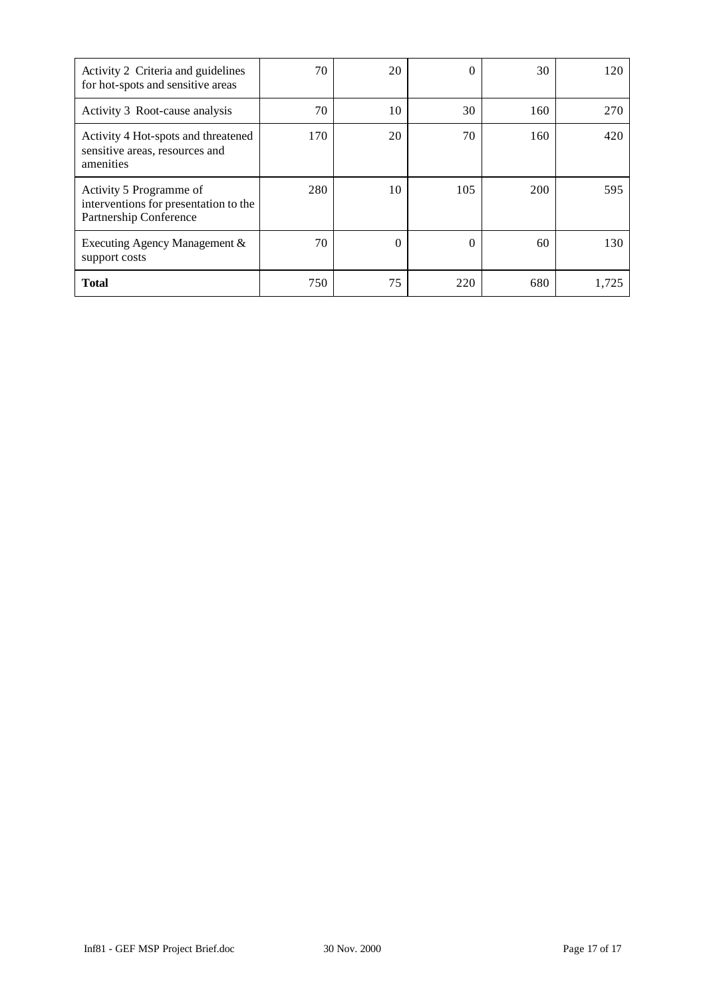| Activity 2 Criteria and guidelines<br>for hot-spots and sensitive areas                    | 70  | 20       | 0        | 30  | 120   |
|--------------------------------------------------------------------------------------------|-----|----------|----------|-----|-------|
| Activity 3 Root-cause analysis                                                             | 70  | 10       | 30       | 160 | 270   |
| Activity 4 Hot-spots and threatened<br>sensitive areas, resources and<br>amenities         | 170 | 20       | 70       | 160 | 420   |
| Activity 5 Programme of<br>interventions for presentation to the<br>Partnership Conference | 280 | 10       | 105      | 200 | 595   |
| Executing Agency Management &<br>support costs                                             | 70  | $\Omega$ | $\Omega$ | 60  | 130   |
| <b>Total</b>                                                                               | 750 | 75       | 220      | 680 | 1.725 |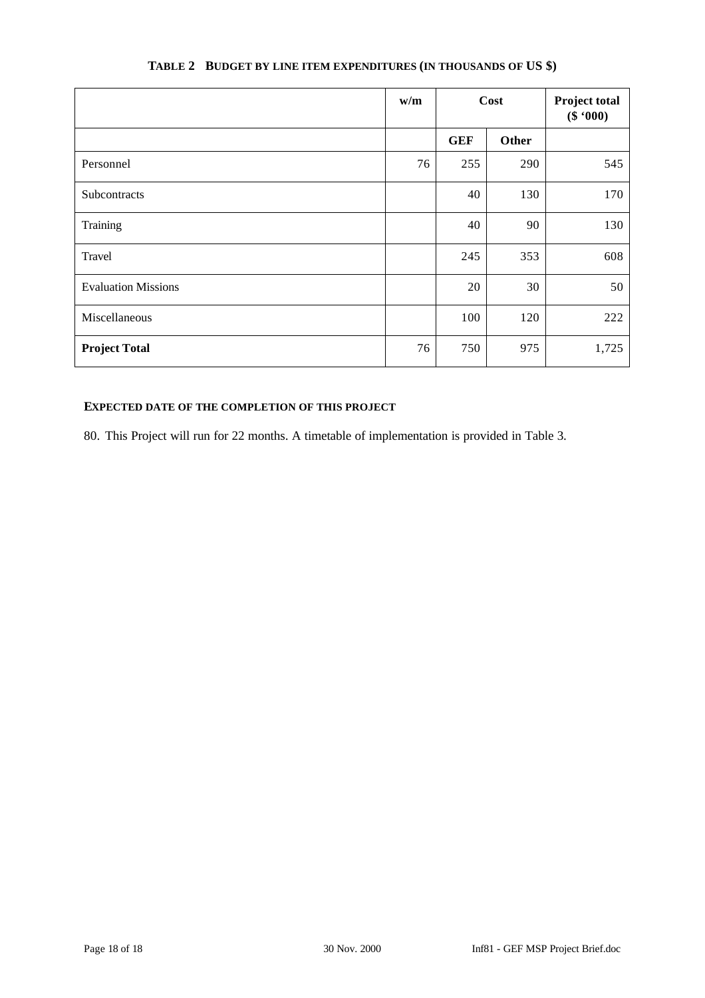|                            | w/m        |            | Cost       | <b>Project total</b><br>(\$ '000) |  |  |  |
|----------------------------|------------|------------|------------|-----------------------------------|--|--|--|
|                            |            | <b>GEF</b> | Other      |                                   |  |  |  |
| Personnel                  | 76         | 255        | 290        | 545                               |  |  |  |
| Subcontracts               |            | 40         | 130        | 170                               |  |  |  |
| Training                   |            | 40         | 90         | 130                               |  |  |  |
| Travel                     | 245<br>353 |            |            | 608                               |  |  |  |
| <b>Evaluation Missions</b> |            | 20         | 30         | 50                                |  |  |  |
| Miscellaneous              |            | 100        | 222<br>120 |                                   |  |  |  |
| <b>Project Total</b>       | 76         | 750        | 975        | 1,725                             |  |  |  |

# **TABLE 2 BUDGET BY LINE ITEM EXPENDITURES (IN THOUSANDS OF US \$)**

# **EXPECTED DATE OF THE COMPLETION OF THIS PROJECT**

80. This Project will run for 22 months. A timetable of implementation is provided in Table 3.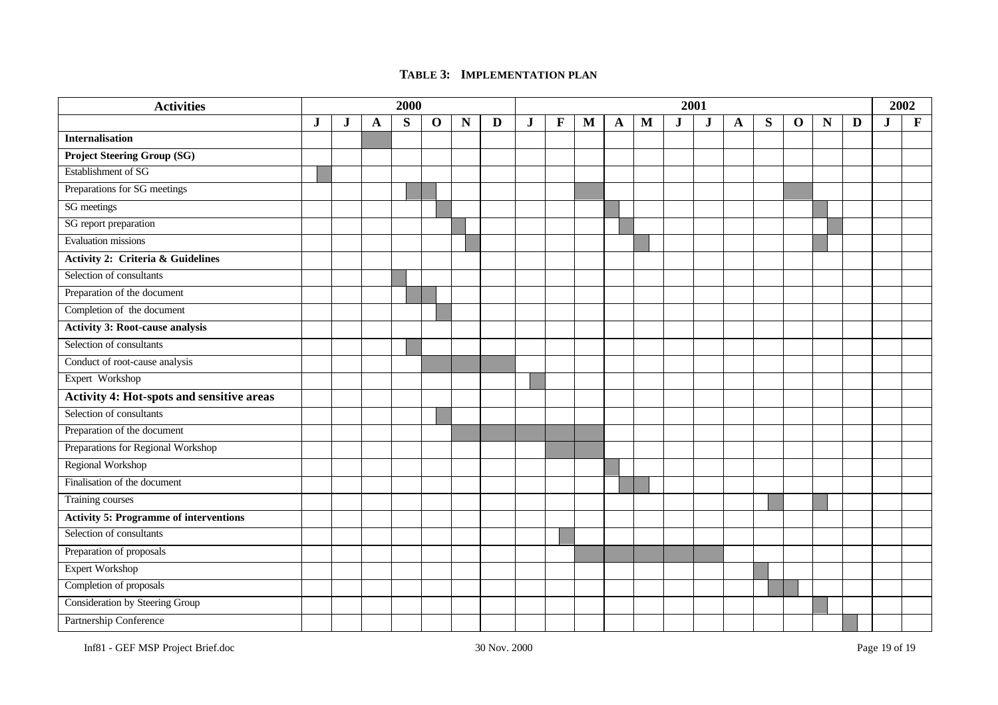# **TABLE 3: IMPLEMENTATION PLAN**

| <b>Activities</b>                                |         | 2000 |   |           |             |   | 2001 |             |              |   |   |   |           |         |   |   |             | 2002 |   |         |              |
|--------------------------------------------------|---------|------|---|-----------|-------------|---|------|-------------|--------------|---|---|---|-----------|---------|---|---|-------------|------|---|---------|--------------|
|                                                  | $\bf J$ | J.   | A | ${\bf S}$ | $\mathbf 0$ | N | D    | $\mathbf J$ | $\mathbf{F}$ | M | A | M | ${\bf J}$ | $\bf J$ | A | S | $\mathbf 0$ | N    | D | $\bf J$ | $\mathbf{F}$ |
| Internalisation                                  |         |      |   |           |             |   |      |             |              |   |   |   |           |         |   |   |             |      |   |         |              |
| <b>Project Steering Group (SG)</b>               |         |      |   |           |             |   |      |             |              |   |   |   |           |         |   |   |             |      |   |         |              |
| Establishment of SG                              |         |      |   |           |             |   |      |             |              |   |   |   |           |         |   |   |             |      |   |         |              |
| Preparations for SG meetings                     |         |      |   |           |             |   |      |             |              |   |   |   |           |         |   |   |             |      |   |         |              |
| SG meetings                                      |         |      |   |           |             |   |      |             |              |   |   |   |           |         |   |   |             |      |   |         |              |
| SG report preparation                            |         |      |   |           |             |   |      |             |              |   |   |   |           |         |   |   |             |      |   |         |              |
| Evaluation missions                              |         |      |   |           |             |   |      |             |              |   |   |   |           |         |   |   |             |      |   |         |              |
| <b>Activity 2: Criteria &amp; Guidelines</b>     |         |      |   |           |             |   |      |             |              |   |   |   |           |         |   |   |             |      |   |         |              |
| Selection of consultants                         |         |      |   |           |             |   |      |             |              |   |   |   |           |         |   |   |             |      |   |         |              |
| Preparation of the document                      |         |      |   |           |             |   |      |             |              |   |   |   |           |         |   |   |             |      |   |         |              |
| Completion of the document                       |         |      |   |           |             |   |      |             |              |   |   |   |           |         |   |   |             |      |   |         |              |
| <b>Activity 3: Root-cause analysis</b>           |         |      |   |           |             |   |      |             |              |   |   |   |           |         |   |   |             |      |   |         |              |
| Selection of consultants                         |         |      |   |           |             |   |      |             |              |   |   |   |           |         |   |   |             |      |   |         |              |
| Conduct of root-cause analysis                   |         |      |   |           |             |   |      |             |              |   |   |   |           |         |   |   |             |      |   |         |              |
| Expert Workshop                                  |         |      |   |           |             |   |      |             |              |   |   |   |           |         |   |   |             |      |   |         |              |
| <b>Activity 4: Hot-spots and sensitive areas</b> |         |      |   |           |             |   |      |             |              |   |   |   |           |         |   |   |             |      |   |         |              |
| Selection of consultants                         |         |      |   |           |             |   |      |             |              |   |   |   |           |         |   |   |             |      |   |         |              |
| Preparation of the document                      |         |      |   |           |             |   |      |             |              |   |   |   |           |         |   |   |             |      |   |         |              |
| Preparations for Regional Workshop               |         |      |   |           |             |   |      |             |              |   |   |   |           |         |   |   |             |      |   |         |              |
| Regional Workshop                                |         |      |   |           |             |   |      |             |              |   |   |   |           |         |   |   |             |      |   |         |              |
| Finalisation of the document                     |         |      |   |           |             |   |      |             |              |   |   |   |           |         |   |   |             |      |   |         |              |
| <b>Training courses</b>                          |         |      |   |           |             |   |      |             |              |   |   |   |           |         |   |   |             |      |   |         |              |
| <b>Activity 5: Programme of interventions</b>    |         |      |   |           |             |   |      |             |              |   |   |   |           |         |   |   |             |      |   |         |              |
| Selection of consultants                         |         |      |   |           |             |   |      |             |              |   |   |   |           |         |   |   |             |      |   |         |              |
| Preparation of proposals                         |         |      |   |           |             |   |      |             |              |   |   |   |           |         |   |   |             |      |   |         |              |
| <b>Expert Workshop</b>                           |         |      |   |           |             |   |      |             |              |   |   |   |           |         |   |   |             |      |   |         |              |
| Completion of proposals                          |         |      |   |           |             |   |      |             |              |   |   |   |           |         |   |   |             |      |   |         |              |
| Consideration by Steering Group                  |         |      |   |           |             |   |      |             |              |   |   |   |           |         |   |   |             |      |   |         |              |
| Partnership Conference                           |         |      |   |           |             |   |      |             |              |   |   |   |           |         |   |   |             |      |   |         |              |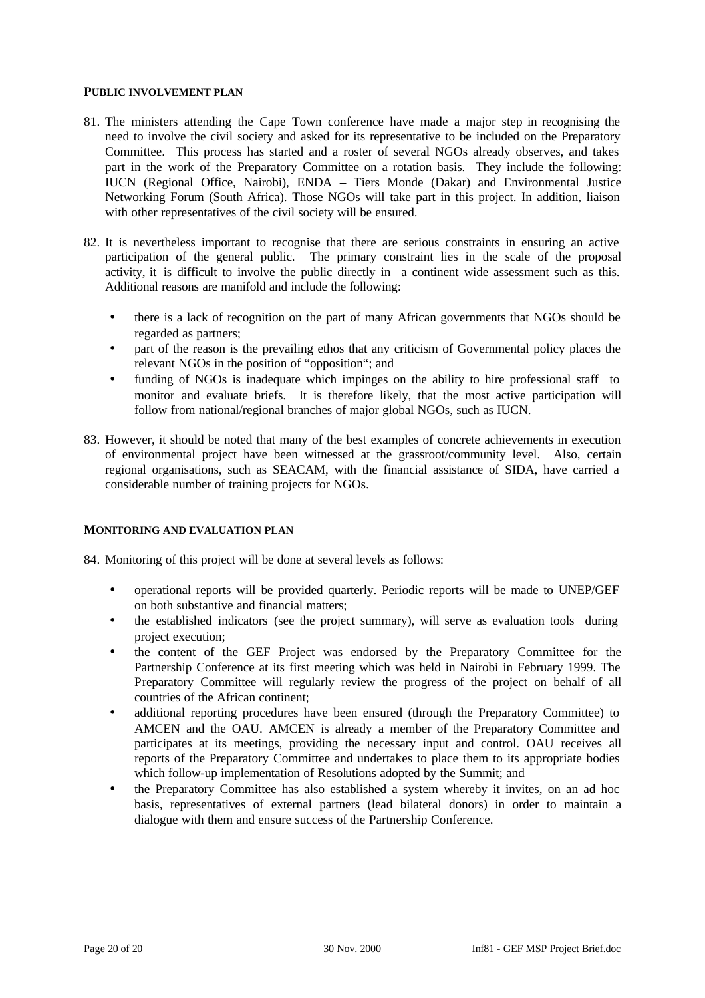### **PUBLIC INVOLVEMENT PLAN**

- 81. The ministers attending the Cape Town conference have made a major step in recognising the need to involve the civil society and asked for its representative to be included on the Preparatory Committee. This process has started and a roster of several NGOs already observes, and takes part in the work of the Preparatory Committee on a rotation basis. They include the following: IUCN (Regional Office, Nairobi), ENDA – Tiers Monde (Dakar) and Environmental Justice Networking Forum (South Africa). Those NGOs will take part in this project. In addition, liaison with other representatives of the civil society will be ensured.
- 82. It is nevertheless important to recognise that there are serious constraints in ensuring an active participation of the general public. The primary constraint lies in the scale of the proposal activity, it is difficult to involve the public directly in a continent wide assessment such as this. Additional reasons are manifold and include the following:
	- there is a lack of recognition on the part of many African governments that NGOs should be regarded as partners;
	- part of the reason is the prevailing ethos that any criticism of Governmental policy places the relevant NGOs in the position of "opposition"; and
	- funding of NGOs is inadequate which impinges on the ability to hire professional staff to monitor and evaluate briefs. It is therefore likely, that the most active participation will follow from national/regional branches of major global NGOs, such as IUCN.
- 83. However, it should be noted that many of the best examples of concrete achievements in execution of environmental project have been witnessed at the grassroot/community level. Also, certain regional organisations, such as SEACAM, with the financial assistance of SIDA, have carried a considerable number of training projects for NGOs.

#### **MONITORING AND EVALUATION PLAN**

- 84. Monitoring of this project will be done at several levels as follows:
	- operational reports will be provided quarterly. Periodic reports will be made to UNEP/GEF on both substantive and financial matters;
	- the established indicators (see the project summary), will serve as evaluation tools during project execution;
	- the content of the GEF Project was endorsed by the Preparatory Committee for the Partnership Conference at its first meeting which was held in Nairobi in February 1999. The Preparatory Committee will regularly review the progress of the project on behalf of all countries of the African continent;
	- additional reporting procedures have been ensured (through the Preparatory Committee) to AMCEN and the OAU. AMCEN is already a member of the Preparatory Committee and participates at its meetings, providing the necessary input and control. OAU receives all reports of the Preparatory Committee and undertakes to place them to its appropriate bodies which follow-up implementation of Resolutions adopted by the Summit; and
	- the Preparatory Committee has also established a system whereby it invites, on an ad hoc basis, representatives of external partners (lead bilateral donors) in order to maintain a dialogue with them and ensure success of the Partnership Conference.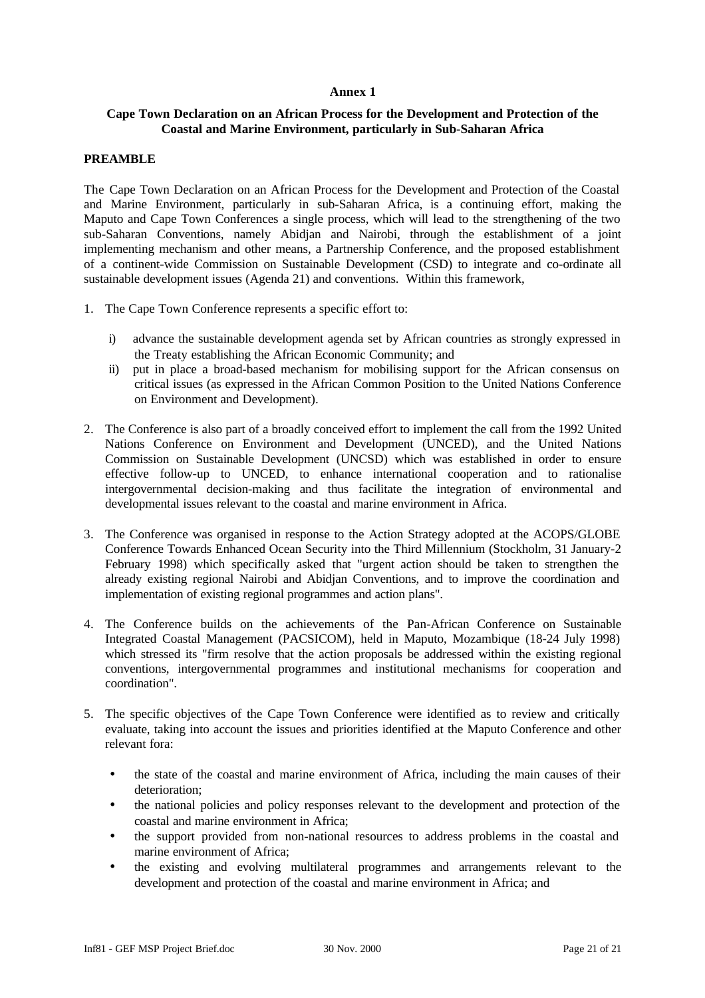### **Annex 1**

# **Cape Town Declaration on an African Process for the Development and Protection of the Coastal and Marine Environment, particularly in Sub-Saharan Africa**

### **PREAMBLE**

The Cape Town Declaration on an African Process for the Development and Protection of the Coastal and Marine Environment, particularly in sub-Saharan Africa, is a continuing effort, making the Maputo and Cape Town Conferences a single process, which will lead to the strengthening of the two sub-Saharan Conventions, namely Abidjan and Nairobi, through the establishment of a joint implementing mechanism and other means, a Partnership Conference, and the proposed establishment of a continent-wide Commission on Sustainable Development (CSD) to integrate and co-ordinate all sustainable development issues (Agenda 21) and conventions. Within this framework,

- 1. The Cape Town Conference represents a specific effort to:
	- i) advance the sustainable development agenda set by African countries as strongly expressed in the Treaty establishing the African Economic Community; and
	- ii) put in place a broad-based mechanism for mobilising support for the African consensus on critical issues (as expressed in the African Common Position to the United Nations Conference on Environment and Development).
- 2. The Conference is also part of a broadly conceived effort to implement the call from the 1992 United Nations Conference on Environment and Development (UNCED), and the United Nations Commission on Sustainable Development (UNCSD) which was established in order to ensure effective follow-up to UNCED, to enhance international cooperation and to rationalise intergovernmental decision-making and thus facilitate the integration of environmental and developmental issues relevant to the coastal and marine environment in Africa.
- 3. The Conference was organised in response to the Action Strategy adopted at the ACOPS/GLOBE Conference Towards Enhanced Ocean Security into the Third Millennium (Stockholm, 31 January-2 February 1998) which specifically asked that "urgent action should be taken to strengthen the already existing regional Nairobi and Abidjan Conventions, and to improve the coordination and implementation of existing regional programmes and action plans".
- 4. The Conference builds on the achievements of the Pan-African Conference on Sustainable Integrated Coastal Management (PACSICOM), held in Maputo, Mozambique (18-24 July 1998) which stressed its "firm resolve that the action proposals be addressed within the existing regional conventions, intergovernmental programmes and institutional mechanisms for cooperation and coordination".
- 5. The specific objectives of the Cape Town Conference were identified as to review and critically evaluate, taking into account the issues and priorities identified at the Maputo Conference and other relevant fora:
	- the state of the coastal and marine environment of Africa, including the main causes of their deterioration;
	- the national policies and policy responses relevant to the development and protection of the coastal and marine environment in Africa;
	- the support provided from non-national resources to address problems in the coastal and marine environment of Africa;
	- the existing and evolving multilateral programmes and arrangements relevant to the development and protection of the coastal and marine environment in Africa; and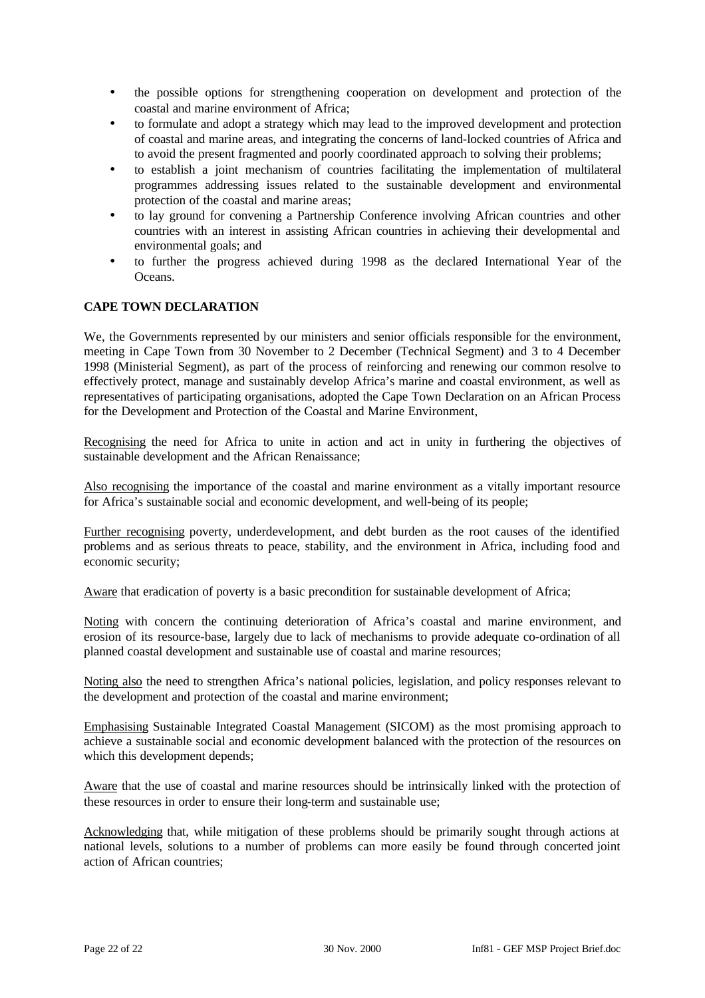- the possible options for strengthening cooperation on development and protection of the coastal and marine environment of Africa;
- to formulate and adopt a strategy which may lead to the improved development and protection of coastal and marine areas, and integrating the concerns of land-locked countries of Africa and to avoid the present fragmented and poorly coordinated approach to solving their problems;
- to establish a joint mechanism of countries facilitating the implementation of multilateral programmes addressing issues related to the sustainable development and environmental protection of the coastal and marine areas;
- to lay ground for convening a Partnership Conference involving African countries and other countries with an interest in assisting African countries in achieving their developmental and environmental goals; and
- to further the progress achieved during 1998 as the declared International Year of the Oceans.

# **CAPE TOWN DECLARATION**

We, the Governments represented by our ministers and senior officials responsible for the environment, meeting in Cape Town from 30 November to 2 December (Technical Segment) and 3 to 4 December 1998 (Ministerial Segment), as part of the process of reinforcing and renewing our common resolve to effectively protect, manage and sustainably develop Africa's marine and coastal environment, as well as representatives of participating organisations, adopted the Cape Town Declaration on an African Process for the Development and Protection of the Coastal and Marine Environment,

Recognising the need for Africa to unite in action and act in unity in furthering the objectives of sustainable development and the African Renaissance;

Also recognising the importance of the coastal and marine environment as a vitally important resource for Africa's sustainable social and economic development, and well-being of its people;

Further recognising poverty, underdevelopment, and debt burden as the root causes of the identified problems and as serious threats to peace, stability, and the environment in Africa, including food and economic security;

Aware that eradication of poverty is a basic precondition for sustainable development of Africa;

Noting with concern the continuing deterioration of Africa's coastal and marine environment, and erosion of its resource-base, largely due to lack of mechanisms to provide adequate co-ordination of all planned coastal development and sustainable use of coastal and marine resources;

Noting also the need to strengthen Africa's national policies, legislation, and policy responses relevant to the development and protection of the coastal and marine environment;

Emphasising Sustainable Integrated Coastal Management (SICOM) as the most promising approach to achieve a sustainable social and economic development balanced with the protection of the resources on which this development depends;

Aware that the use of coastal and marine resources should be intrinsically linked with the protection of these resources in order to ensure their long-term and sustainable use;

Acknowledging that, while mitigation of these problems should be primarily sought through actions at national levels, solutions to a number of problems can more easily be found through concerted joint action of African countries;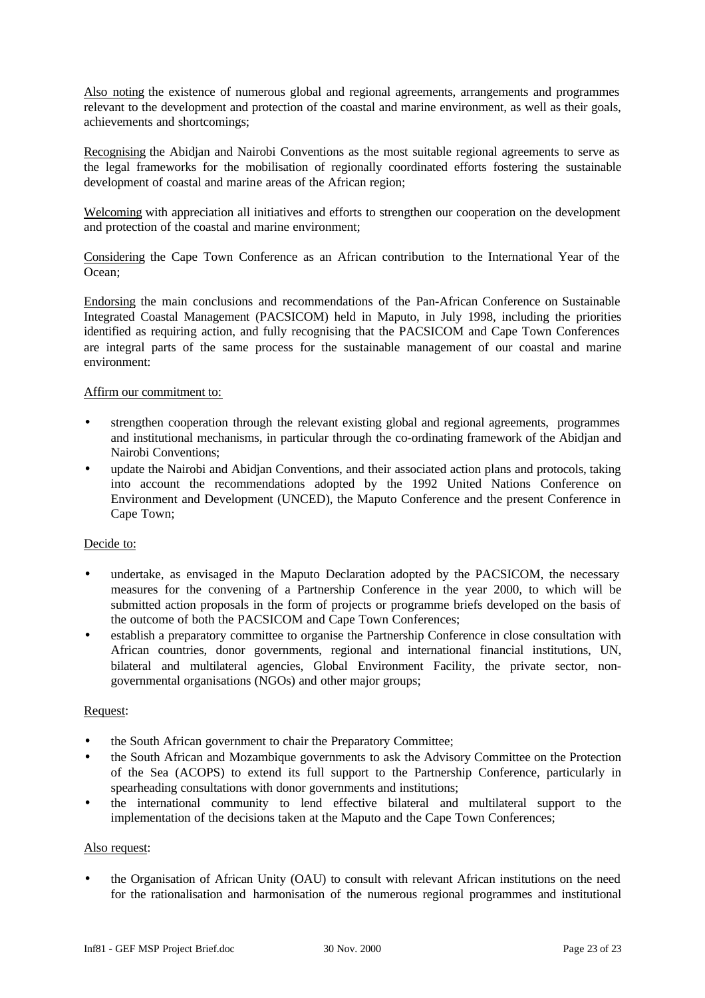Also noting the existence of numerous global and regional agreements, arrangements and programmes relevant to the development and protection of the coastal and marine environment, as well as their goals, achievements and shortcomings;

Recognising the Abidjan and Nairobi Conventions as the most suitable regional agreements to serve as the legal frameworks for the mobilisation of regionally coordinated efforts fostering the sustainable development of coastal and marine areas of the African region;

Welcoming with appreciation all initiatives and efforts to strengthen our cooperation on the development and protection of the coastal and marine environment;

Considering the Cape Town Conference as an African contribution to the International Year of the Ocean;

Endorsing the main conclusions and recommendations of the Pan-African Conference on Sustainable Integrated Coastal Management (PACSICOM) held in Maputo, in July 1998, including the priorities identified as requiring action, and fully recognising that the PACSICOM and Cape Town Conferences are integral parts of the same process for the sustainable management of our coastal and marine environment:

### Affirm our commitment to:

- strengthen cooperation through the relevant existing global and regional agreements, programmes and institutional mechanisms, in particular through the co-ordinating framework of the Abidjan and Nairobi Conventions;
- update the Nairobi and Abidjan Conventions, and their associated action plans and protocols, taking into account the recommendations adopted by the 1992 United Nations Conference on Environment and Development (UNCED), the Maputo Conference and the present Conference in Cape Town;

#### Decide to:

- undertake, as envisaged in the Maputo Declaration adopted by the PACSICOM, the necessary measures for the convening of a Partnership Conference in the year 2000, to which will be submitted action proposals in the form of projects or programme briefs developed on the basis of the outcome of both the PACSICOM and Cape Town Conferences;
- establish a preparatory committee to organise the Partnership Conference in close consultation with African countries, donor governments, regional and international financial institutions, UN, bilateral and multilateral agencies, Global Environment Facility, the private sector, nongovernmental organisations (NGOs) and other major groups;

#### Request:

- the South African government to chair the Preparatory Committee;
- the South African and Mozambique governments to ask the Advisory Committee on the Protection of the Sea (ACOPS) to extend its full support to the Partnership Conference, particularly in spearheading consultations with donor governments and institutions;
- the international community to lend effective bilateral and multilateral support to the implementation of the decisions taken at the Maputo and the Cape Town Conferences;

#### Also request:

• the Organisation of African Unity (OAU) to consult with relevant African institutions on the need for the rationalisation and harmonisation of the numerous regional programmes and institutional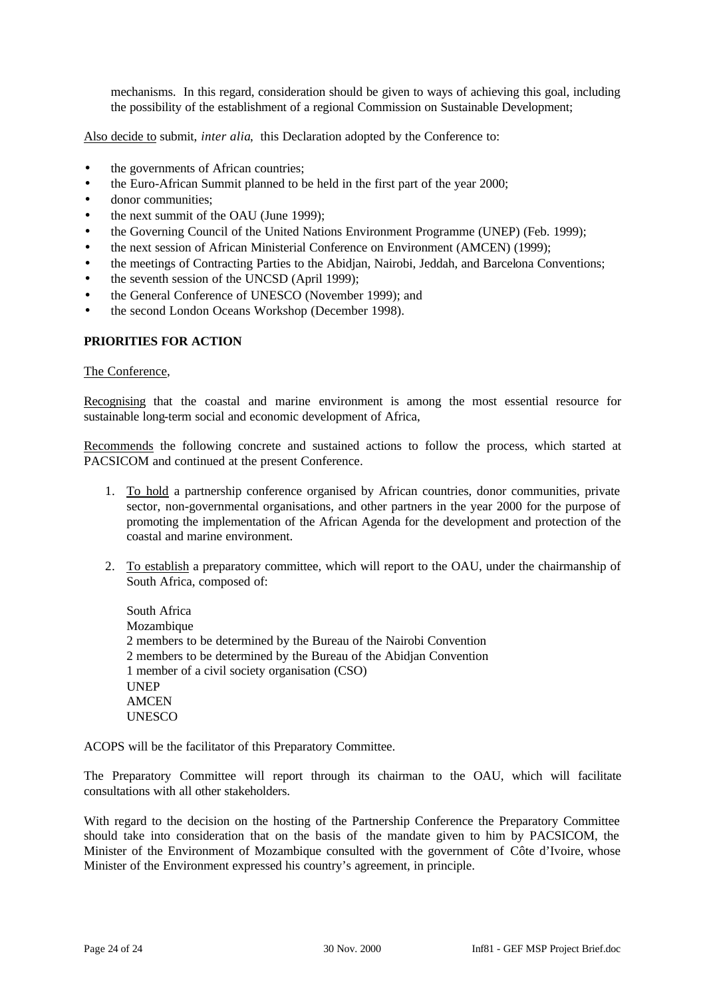mechanisms. In this regard, consideration should be given to ways of achieving this goal, including the possibility of the establishment of a regional Commission on Sustainable Development;

Also decide to submit, *inter alia*, this Declaration adopted by the Conference to:

- the governments of African countries;
- the Euro-African Summit planned to be held in the first part of the year 2000;
- donor communities:
- the next summit of the OAU (June 1999);
- the Governing Council of the United Nations Environment Programme (UNEP) (Feb. 1999);
- the next session of African Ministerial Conference on Environment (AMCEN) (1999);
- the meetings of Contracting Parties to the Abidjan, Nairobi, Jeddah, and Barcelona Conventions;
- the seventh session of the UNCSD (April 1999);
- the General Conference of UNESCO (November 1999); and
- the second London Oceans Workshop (December 1998).

### **PRIORITIES FOR ACTION**

#### The Conference,

Recognising that the coastal and marine environment is among the most essential resource for sustainable long-term social and economic development of Africa,

Recommends the following concrete and sustained actions to follow the process, which started at PACSICOM and continued at the present Conference.

- 1. To hold a partnership conference organised by African countries, donor communities, private sector, non-governmental organisations, and other partners in the year 2000 for the purpose of promoting the implementation of the African Agenda for the development and protection of the coastal and marine environment.
- 2. To establish a preparatory committee, which will report to the OAU, under the chairmanship of South Africa, composed of:

South Africa Mozambique 2 members to be determined by the Bureau of the Nairobi Convention 2 members to be determined by the Bureau of the Abidjan Convention 1 member of a civil society organisation (CSO) **UNEP AMCEN UNESCO** 

ACOPS will be the facilitator of this Preparatory Committee.

The Preparatory Committee will report through its chairman to the OAU, which will facilitate consultations with all other stakeholders.

With regard to the decision on the hosting of the Partnership Conference the Preparatory Committee should take into consideration that on the basis of the mandate given to him by PACSICOM, the Minister of the Environment of Mozambique consulted with the government of Côte d'Ivoire, whose Minister of the Environment expressed his country's agreement, in principle.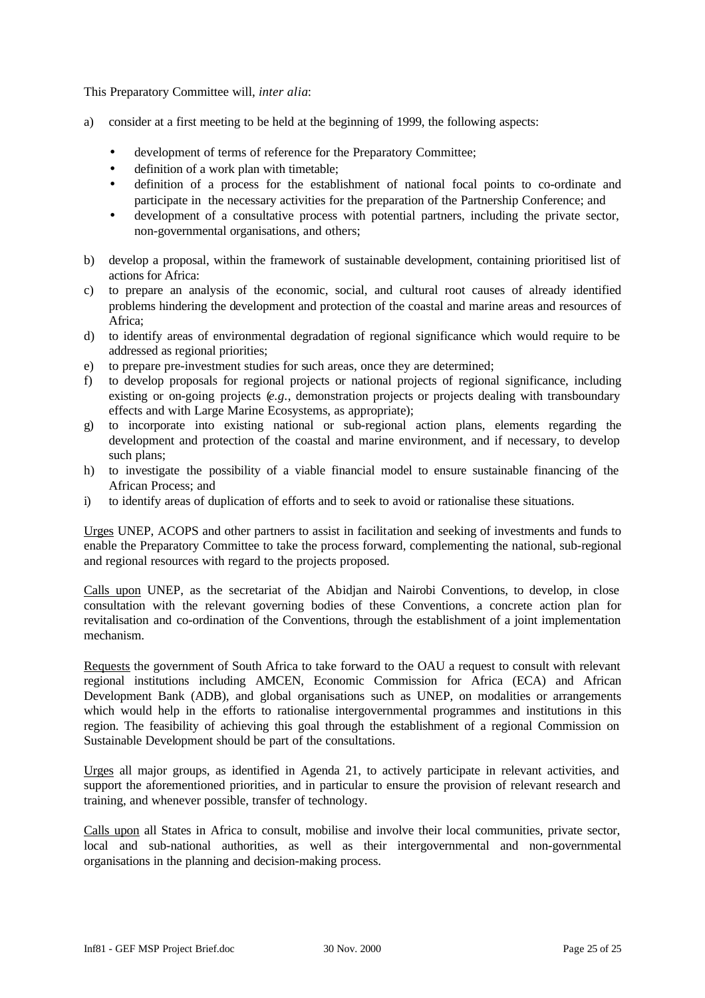This Preparatory Committee will, *inter alia*:

- a) consider at a first meeting to be held at the beginning of 1999, the following aspects:
	- development of terms of reference for the Preparatory Committee:
	- definition of a work plan with timetable;
	- definition of a process for the establishment of national focal points to co-ordinate and participate in the necessary activities for the preparation of the Partnership Conference; and
	- development of a consultative process with potential partners, including the private sector, non-governmental organisations, and others;
- b) develop a proposal, within the framework of sustainable development, containing prioritised list of actions for Africa:
- c) to prepare an analysis of the economic, social, and cultural root causes of already identified problems hindering the development and protection of the coastal and marine areas and resources of Africa;
- d) to identify areas of environmental degradation of regional significance which would require to be addressed as regional priorities;
- e) to prepare pre-investment studies for such areas, once they are determined;
- f) to develop proposals for regional projects or national projects of regional significance, including existing or on-going projects (*e.g.*, demonstration projects or projects dealing with transboundary effects and with Large Marine Ecosystems, as appropriate);
- g) to incorporate into existing national or sub-regional action plans, elements regarding the development and protection of the coastal and marine environment, and if necessary, to develop such plans;
- h) to investigate the possibility of a viable financial model to ensure sustainable financing of the African Process; and
- i) to identify areas of duplication of efforts and to seek to avoid or rationalise these situations.

Urges UNEP, ACOPS and other partners to assist in facilitation and seeking of investments and funds to enable the Preparatory Committee to take the process forward, complementing the national, sub-regional and regional resources with regard to the projects proposed.

Calls upon UNEP, as the secretariat of the Abidjan and Nairobi Conventions, to develop, in close consultation with the relevant governing bodies of these Conventions, a concrete action plan for revitalisation and co-ordination of the Conventions, through the establishment of a joint implementation mechanism.

Requests the government of South Africa to take forward to the OAU a request to consult with relevant regional institutions including AMCEN, Economic Commission for Africa (ECA) and African Development Bank (ADB), and global organisations such as UNEP, on modalities or arrangements which would help in the efforts to rationalise intergovernmental programmes and institutions in this region. The feasibility of achieving this goal through the establishment of a regional Commission on Sustainable Development should be part of the consultations.

Urges all major groups, as identified in Agenda 21, to actively participate in relevant activities, and support the aforementioned priorities, and in particular to ensure the provision of relevant research and training, and whenever possible, transfer of technology.

Calls upon all States in Africa to consult, mobilise and involve their local communities, private sector, local and sub-national authorities, as well as their intergovernmental and non-governmental organisations in the planning and decision-making process.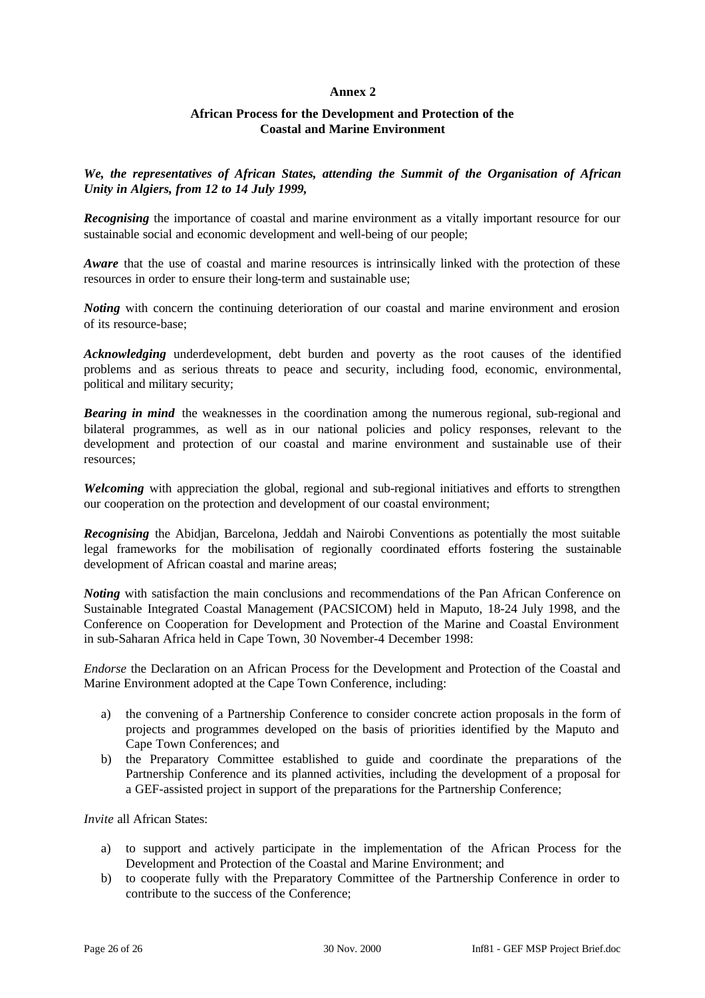# **Annex 2**

# **African Process for the Development and Protection of the Coastal and Marine Environment**

*We, the representatives of African States, attending the Summit of the Organisation of African Unity in Algiers, from 12 to 14 July 1999,*

*Recognising* the importance of coastal and marine environment as a vitally important resource for our sustainable social and economic development and well-being of our people;

*Aware* that the use of coastal and marine resources is intrinsically linked with the protection of these resources in order to ensure their long-term and sustainable use;

*Noting* with concern the continuing deterioration of our coastal and marine environment and erosion of its resource-base;

*Acknowledging* underdevelopment, debt burden and poverty as the root causes of the identified problems and as serious threats to peace and security, including food, economic, environmental, political and military security;

**Bearing in mind** the weaknesses in the coordination among the numerous regional, sub-regional and bilateral programmes, as well as in our national policies and policy responses, relevant to the development and protection of our coastal and marine environment and sustainable use of their resources;

*Welcoming* with appreciation the global, regional and sub-regional initiatives and efforts to strengthen our cooperation on the protection and development of our coastal environment;

*Recognising* the Abidjan, Barcelona, Jeddah and Nairobi Conventions as potentially the most suitable legal frameworks for the mobilisation of regionally coordinated efforts fostering the sustainable development of African coastal and marine areas;

*Noting* with satisfaction the main conclusions and recommendations of the Pan African Conference on Sustainable Integrated Coastal Management (PACSICOM) held in Maputo, 18-24 July 1998, and the Conference on Cooperation for Development and Protection of the Marine and Coastal Environment in sub-Saharan Africa held in Cape Town, 30 November-4 December 1998:

*Endorse* the Declaration on an African Process for the Development and Protection of the Coastal and Marine Environment adopted at the Cape Town Conference, including:

- a) the convening of a Partnership Conference to consider concrete action proposals in the form of projects and programmes developed on the basis of priorities identified by the Maputo and Cape Town Conferences; and
- b) the Preparatory Committee established to guide and coordinate the preparations of the Partnership Conference and its planned activities, including the development of a proposal for a GEF-assisted project in support of the preparations for the Partnership Conference;

*Invite* all African States:

- a) to support and actively participate in the implementation of the African Process for the Development and Protection of the Coastal and Marine Environment; and
- b) to cooperate fully with the Preparatory Committee of the Partnership Conference in order to contribute to the success of the Conference;